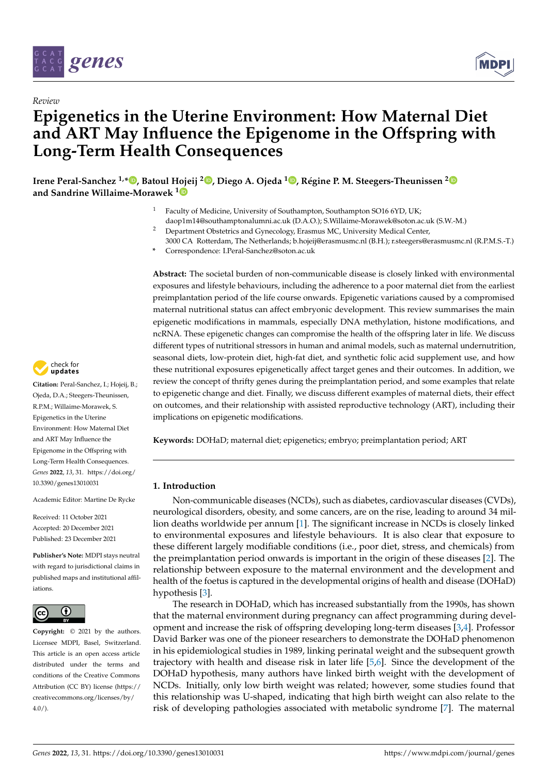

*Review*



# **Epigenetics in the Uterine Environment: How Maternal Diet and ART May Influence the Epigenome in the Offspring with Long-Term Health Consequences**

**Irene Peral-Sanchez 1,\* [,](https://orcid.org/0000-0001-9725-3036) Batoul Hojeij <sup>2</sup> [,](https://orcid.org/0000-0002-3262-0293) Diego A. Ojeda <sup>1</sup> [,](https://orcid.org/0000-0002-5645-8200) Régine P. M. Steegers-Theunissen [2](https://orcid.org/0000-0002-4353-5756) and Sandrine Willaime-Morawek [1](https://orcid.org/0000-0002-1121-6419)**

- Faculty of Medicine, University of Southampton, Southampton SO16 6YD, UK; daop1m14@southamptonalumni.ac.uk (D.A.O.); S.Willaime-Morawek@soton.ac.uk (S.W.-M.)
- <sup>2</sup> Department Obstetrics and Gynecology, Erasmus MC, University Medical Center,
- 3000 CA Rotterdam, The Netherlands; b.hojeij@erasmusmc.nl (B.H.); r.steegers@erasmusmc.nl (R.P.M.S.-T.) **\*** Correspondence: I.Peral-Sanchez@soton.ac.uk

**Abstract:** The societal burden of non-communicable disease is closely linked with environmental exposures and lifestyle behaviours, including the adherence to a poor maternal diet from the earliest preimplantation period of the life course onwards. Epigenetic variations caused by a compromised maternal nutritional status can affect embryonic development. This review summarises the main epigenetic modifications in mammals, especially DNA methylation, histone modifications, and ncRNA. These epigenetic changes can compromise the health of the offspring later in life. We discuss different types of nutritional stressors in human and animal models, such as maternal undernutrition, seasonal diets, low-protein diet, high-fat diet, and synthetic folic acid supplement use, and how these nutritional exposures epigenetically affect target genes and their outcomes. In addition, we review the concept of thrifty genes during the preimplantation period, and some examples that relate to epigenetic change and diet. Finally, we discuss different examples of maternal diets, their effect on outcomes, and their relationship with assisted reproductive technology (ART), including their implications on epigenetic modifications.

**Keywords:** DOHaD; maternal diet; epigenetics; embryo; preimplantation period; ART

# **1. Introduction**

Non-communicable diseases (NCDs), such as diabetes, cardiovascular diseases (CVDs), neurological disorders, obesity, and some cancers, are on the rise, leading to around 34 million deaths worldwide per annum [\[1\]](#page-14-0). The significant increase in NCDs is closely linked to environmental exposures and lifestyle behaviours. It is also clear that exposure to these different largely modifiable conditions (i.e., poor diet, stress, and chemicals) from the preimplantation period onwards is important in the origin of these diseases [\[2\]](#page-14-1). The relationship between exposure to the maternal environment and the development and health of the foetus is captured in the developmental origins of health and disease (DOHaD) hypothesis [\[3\]](#page-14-2).

The research in DOHaD, which has increased substantially from the 1990s, has shown that the maternal environment during pregnancy can affect programming during development and increase the risk of offspring developing long-term diseases [\[3,](#page-14-2)[4\]](#page-14-3). Professor David Barker was one of the pioneer researchers to demonstrate the DOHaD phenomenon in his epidemiological studies in 1989, linking perinatal weight and the subsequent growth trajectory with health and disease risk in later life [\[5,](#page-14-4)[6\]](#page-14-5). Since the development of the DOHaD hypothesis, many authors have linked birth weight with the development of NCDs. Initially, only low birth weight was related; however, some studies found that this relationship was U-shaped, indicating that high birth weight can also relate to the risk of developing pathologies associated with metabolic syndrome [\[7\]](#page-14-6). The maternal



**Citation:** Peral-Sanchez, I.; Hojeij, B.; Ojeda, D.A.; Steegers-Theunissen, R.P.M.; Willaime-Morawek, S. Epigenetics in the Uterine Environment: How Maternal Diet and ART May Influence the Epigenome in the Offspring with Long-Term Health Consequences. *Genes* **2022**, *13*, 31. [https://doi.org/](https://doi.org/10.3390/genes13010031) [10.3390/genes13010031](https://doi.org/10.3390/genes13010031)

Academic Editor: Martine De Rycke

Received: 11 October 2021 Accepted: 20 December 2021 Published: 23 December 2021

**Publisher's Note:** MDPI stays neutral with regard to jurisdictional claims in published maps and institutional affiliations.



**Copyright:** © 2021 by the authors. Licensee MDPI, Basel, Switzerland. This article is an open access article distributed under the terms and conditions of the Creative Commons Attribution (CC BY) license [\(https://](https://creativecommons.org/licenses/by/4.0/) [creativecommons.org/licenses/by/](https://creativecommons.org/licenses/by/4.0/)  $4.0/$ ).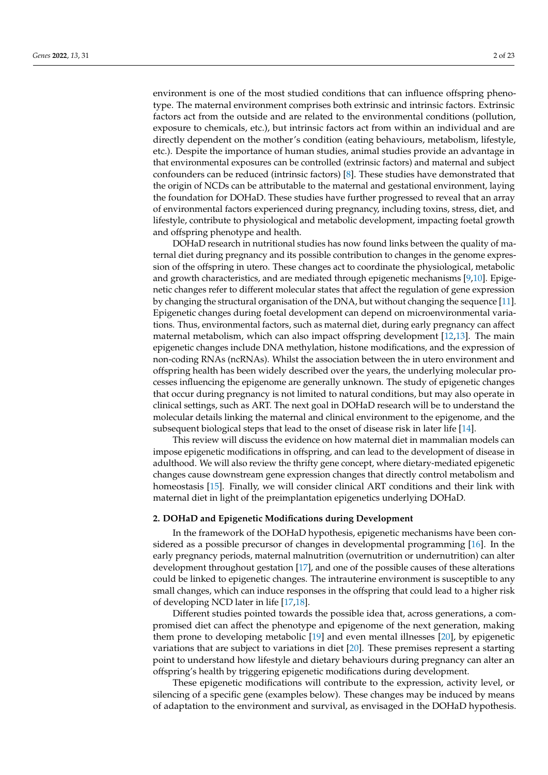environment is one of the most studied conditions that can influence offspring phenotype. The maternal environment comprises both extrinsic and intrinsic factors. Extrinsic factors act from the outside and are related to the environmental conditions (pollution, exposure to chemicals, etc.), but intrinsic factors act from within an individual and are directly dependent on the mother's condition (eating behaviours, metabolism, lifestyle, etc.). Despite the importance of human studies, animal studies provide an advantage in that environmental exposures can be controlled (extrinsic factors) and maternal and subject confounders can be reduced (intrinsic factors) [\[8\]](#page-14-7). These studies have demonstrated that the origin of NCDs can be attributable to the maternal and gestational environment, laying the foundation for DOHaD. These studies have further progressed to reveal that an array of environmental factors experienced during pregnancy, including toxins, stress, diet, and lifestyle, contribute to physiological and metabolic development, impacting foetal growth and offspring phenotype and health.

DOHaD research in nutritional studies has now found links between the quality of maternal diet during pregnancy and its possible contribution to changes in the genome expression of the offspring in utero. These changes act to coordinate the physiological, metabolic and growth characteristics, and are mediated through epigenetic mechanisms [\[9,](#page-14-8)[10\]](#page-14-9). Epigenetic changes refer to different molecular states that affect the regulation of gene expression by changing the structural organisation of the DNA, but without changing the sequence [\[11\]](#page-14-10). Epigenetic changes during foetal development can depend on microenvironmental variations. Thus, environmental factors, such as maternal diet, during early pregnancy can affect maternal metabolism, which can also impact offspring development [\[12](#page-15-0)[,13\]](#page-15-1). The main epigenetic changes include DNA methylation, histone modifications, and the expression of non-coding RNAs (ncRNAs). Whilst the association between the in utero environment and offspring health has been widely described over the years, the underlying molecular processes influencing the epigenome are generally unknown. The study of epigenetic changes that occur during pregnancy is not limited to natural conditions, but may also operate in clinical settings, such as ART. The next goal in DOHaD research will be to understand the molecular details linking the maternal and clinical environment to the epigenome, and the subsequent biological steps that lead to the onset of disease risk in later life [\[14\]](#page-15-2).

This review will discuss the evidence on how maternal diet in mammalian models can impose epigenetic modifications in offspring, and can lead to the development of disease in adulthood. We will also review the thrifty gene concept, where dietary-mediated epigenetic changes cause downstream gene expression changes that directly control metabolism and homeostasis [\[15\]](#page-15-3). Finally, we will consider clinical ART conditions and their link with maternal diet in light of the preimplantation epigenetics underlying DOHaD.

# **2. DOHaD and Epigenetic Modifications during Development**

In the framework of the DOHaD hypothesis, epigenetic mechanisms have been considered as a possible precursor of changes in developmental programming [\[16\]](#page-15-4). In the early pregnancy periods, maternal malnutrition (overnutrition or undernutrition) can alter development throughout gestation [\[17\]](#page-15-5), and one of the possible causes of these alterations could be linked to epigenetic changes. The intrauterine environment is susceptible to any small changes, which can induce responses in the offspring that could lead to a higher risk of developing NCD later in life [\[17,](#page-15-5)[18\]](#page-15-6).

Different studies pointed towards the possible idea that, across generations, a compromised diet can affect the phenotype and epigenome of the next generation, making them prone to developing metabolic [\[19\]](#page-15-7) and even mental illnesses [\[20\]](#page-15-8), by epigenetic variations that are subject to variations in diet [\[20\]](#page-15-8). These premises represent a starting point to understand how lifestyle and dietary behaviours during pregnancy can alter an offspring's health by triggering epigenetic modifications during development.

These epigenetic modifications will contribute to the expression, activity level, or silencing of a specific gene (examples below). These changes may be induced by means of adaptation to the environment and survival, as envisaged in the DOHaD hypothesis.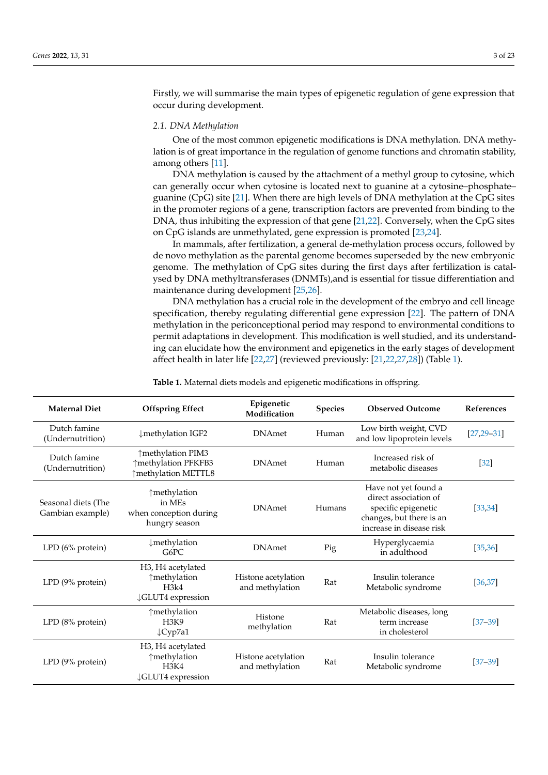Firstly, we will summarise the main types of epigenetic regulation of gene expression that occur during development.

#### *2.1. DNA Methylation*

One of the most common epigenetic modifications is DNA methylation. DNA methylation is of great importance in the regulation of genome functions and chromatin stability, among others [\[11\]](#page-14-10).

DNA methylation is caused by the attachment of a methyl group to cytosine, which can generally occur when cytosine is located next to guanine at a cytosine–phosphate– guanine (CpG) site [\[21\]](#page-15-9). When there are high levels of DNA methylation at the CpG sites in the promoter regions of a gene, transcription factors are prevented from binding to the DNA, thus inhibiting the expression of that gene [\[21,](#page-15-9)[22\]](#page-15-10). Conversely, when the CpG sites on CpG islands are unmethylated, gene expression is promoted [\[23,](#page-15-11)[24\]](#page-15-12).

In mammals, after fertilization, a general de-methylation process occurs, followed by de novo methylation as the parental genome becomes superseded by the new embryonic genome. The methylation of CpG sites during the first days after fertilization is catalysed by DNA methyltransferases (DNMTs),and is essential for tissue differentiation and maintenance during development [\[25](#page-15-13)[,26\]](#page-15-14).

DNA methylation has a crucial role in the development of the embryo and cell lineage specification, thereby regulating differential gene expression [\[22\]](#page-15-10). The pattern of DNA methylation in the periconceptional period may respond to environmental conditions to permit adaptations in development. This modification is well studied, and its understanding can elucidate how the environment and epigenetics in the early stages of development affect health in later life [\[22](#page-15-10)[,27\]](#page-15-15) (reviewed previously: [\[21](#page-15-9)[,22](#page-15-10)[,27](#page-15-15)[,28\]](#page-15-16)) (Table [1\)](#page-3-0).

| <b>Maternal Diet</b>                    | <b>Offspring Effect</b>                                               | Epigenetic<br>Modification             | <b>Species</b> | <b>Observed Outcome</b>                                                                                                      | <b>References</b> |
|-----------------------------------------|-----------------------------------------------------------------------|----------------------------------------|----------------|------------------------------------------------------------------------------------------------------------------------------|-------------------|
| Dutch famine<br>(Undernutrition)        | ↓methylation IGF2                                                     | <b>DNAmet</b>                          | Human          | Low birth weight, CVD<br>and low lipoprotein levels                                                                          | $[27, 29 - 31]$   |
| Dutch famine<br>(Undernutrition)        | ↑methylation PIM3<br>↑methylation PFKFB3<br>↑methylation METTL8       | <b>DNAmet</b>                          | Human          | Increased risk of<br>metabolic diseases                                                                                      | $[32]$            |
| Seasonal diets (The<br>Gambian example) | ↑methylation<br>in MEs<br>when conception during<br>hungry season     | <b>DNAmet</b>                          | Humans         | Have not yet found a<br>direct association of<br>specific epigenetic<br>changes, but there is an<br>increase in disease risk | [33, 34]          |
| LPD $(6\%$ protein)                     | ↓methylation<br>G6PC                                                  | <b>DNAmet</b>                          | Pig            | Hyperglycaemia<br>in adulthood                                                                                               | [35, 36]          |
| LPD (9% protein)                        | H3, H4 acetylated<br>↑methylation<br>H3k4<br><b>JGLUT4</b> expression | Histone acetylation<br>and methylation | Rat            | Insulin tolerance<br>Metabolic syndrome                                                                                      | [36, 37]          |
| LPD (8% protein)                        | ↑methylation<br><b>H3K9</b><br>$\downarrow$ Cyp7a1                    | Histone<br>methylation                 | Rat            | Metabolic diseases, long<br>term increase<br>in cholesterol                                                                  | $[37 - 39]$       |
| $LPD$ (9% protein)                      | H3, H4 acetylated<br>↑methylation<br>H3K4<br>↓GLUT4 expression        | Histone acetylation<br>and methylation | Rat            | Insulin tolerance<br>Metabolic syndrome                                                                                      | $[37 - 39]$       |

**Table 1.** Maternal diets models and epigenetic modifications in offspring.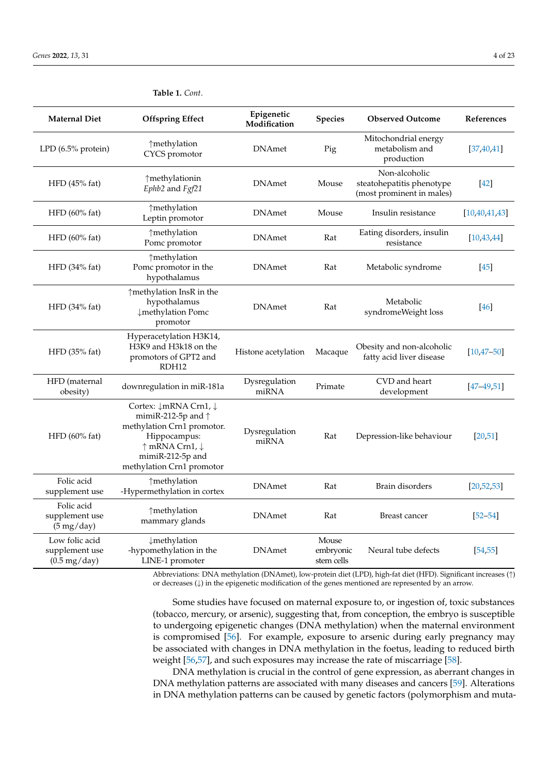| <b>Maternal Diet</b>                                       | <b>Offspring Effect</b>                                                                                                                                               | Epigenetic<br>Modification | <b>Species</b>                   | <b>Observed Outcome</b>                                                 | References       |
|------------------------------------------------------------|-----------------------------------------------------------------------------------------------------------------------------------------------------------------------|----------------------------|----------------------------------|-------------------------------------------------------------------------|------------------|
| LPD (6.5% protein)                                         | ↑methylation<br>CYCS promotor                                                                                                                                         | <b>DNAmet</b>              | Pig                              | Mitochondrial energy<br>metabolism and<br>production                    | [37, 40, 41]     |
| HFD (45% fat)                                              | ↑methylationin<br>Ephb2 and Fgf21                                                                                                                                     | <b>DNAmet</b>              | Mouse                            | Non-alcoholic<br>steatohepatitis phenotype<br>(most prominent in males) | $[42]$           |
| $HFD$ (60% fat)                                            | ↑methylation<br>Leptin promotor                                                                                                                                       | <b>DNAmet</b>              | Mouse                            | Insulin resistance                                                      | [10, 40, 41, 43] |
| $HFD$ (60% fat)                                            | ↑methylation<br>Pomc promotor                                                                                                                                         | <b>DNAmet</b>              | Rat                              | Eating disorders, insulin<br>resistance                                 | [10, 43, 44]     |
| $HFD$ (34% fat)                                            | ↑methylation<br>Pomc promotor in the<br>hypothalamus                                                                                                                  | <b>DNAmet</b>              | Rat                              | Metabolic syndrome                                                      | $[45]$           |
| $HFD$ (34% fat)                                            | ↑methylation InsR in the<br>hypothalamus<br>↓methylation Pomc<br>promotor                                                                                             | <b>DNAmet</b>              | Rat                              | Metabolic<br>syndromeWeight loss                                        | <sup>46</sup>    |
| HFD (35% fat)                                              | Hyperacetylation H3K14,<br>H3K9 and H3k18 on the<br>promotors of GPT2 and<br>RDH <sub>12</sub>                                                                        | Histone acetylation        | Macaque                          | Obesity and non-alcoholic<br>fatty acid liver disease                   | $[10, 47 - 50]$  |
| HFD (maternal<br>obesity)                                  | downregulation in miR-181a                                                                                                                                            | Dysregulation<br>miRNA     | Primate                          | CVD and heart<br>development                                            | $[47 - 49, 51]$  |
| HFD (60% fat)                                              | Cortex: ↓mRNA Crn1, ↓<br>mimiR-212-5p and $\uparrow$<br>methylation Crn1 promotor.<br>Hippocampus:<br>↑ mRNA Crn1, ↓<br>mimiR-212-5p and<br>methylation Crn1 promotor | Dysregulation<br>miRNA     | Rat                              | Depression-like behaviour                                               | [20, 51]         |
| Folic acid<br>supplement use                               | ↑methylation<br>-Hypermethylation in cortex                                                                                                                           | <b>DNAmet</b>              | Rat                              | Brain disorders                                                         | [20, 52, 53]     |
| Folic acid<br>supplement use<br>$(5 \text{ mg/day})$       | ↑methylation<br>mammary glands                                                                                                                                        | <b>DNAmet</b>              | Rat                              | Breast cancer                                                           | $[52 - 54]$      |
| Low folic acid<br>supplement use<br>$(0.5 \text{ mg/day})$ | ↓methylation<br>-hypomethylation in the<br>LINE-1 promoter                                                                                                            | <b>DNAmet</b>              | Mouse<br>embryonic<br>stem cells | Neural tube defects                                                     | [54, 55]         |

<span id="page-3-0"></span>**Table 1.** *Cont*.

Abbreviations: DNA methylation (DNAmet), low-protein diet (LPD), high-fat diet (HFD). Significant increases (↑) or decreases (↓) in the epigenetic modification of the genes mentioned are represented by an arrow.

Some studies have focused on maternal exposure to, or ingestion of, toxic substances (tobacco, mercury, or arsenic), suggesting that, from conception, the embryo is susceptible to undergoing epigenetic changes (DNA methylation) when the maternal environment is compromised [\[56\]](#page-16-17). For example, exposure to arsenic during early pregnancy may be associated with changes in DNA methylation in the foetus, leading to reduced birth weight [\[56](#page-16-17)[,57\]](#page-16-18), and such exposures may increase the rate of miscarriage [\[58\]](#page-16-19).

DNA methylation is crucial in the control of gene expression, as aberrant changes in DNA methylation patterns are associated with many diseases and cancers [\[59\]](#page-16-20). Alterations in DNA methylation patterns can be caused by genetic factors (polymorphism and muta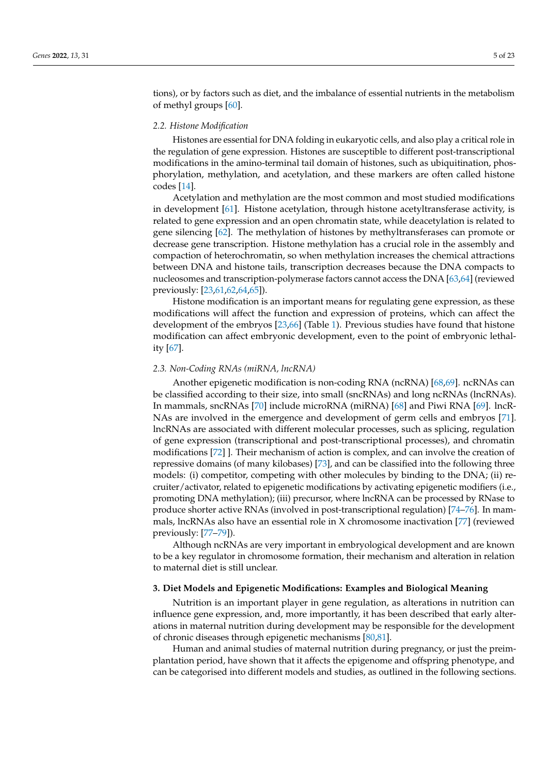tions), or by factors such as diet, and the imbalance of essential nutrients in the metabolism of methyl groups [\[60\]](#page-16-21).

#### *2.2. Histone Modification*

Histones are essential for DNA folding in eukaryotic cells, and also play a critical role in the regulation of gene expression. Histones are susceptible to different post-transcriptional modifications in the amino-terminal tail domain of histones, such as ubiquitination, phosphorylation, methylation, and acetylation, and these markers are often called histone codes [\[14\]](#page-15-2).

Acetylation and methylation are the most common and most studied modifications in development [\[61\]](#page-16-22). Histone acetylation, through histone acetyltransferase activity, is related to gene expression and an open chromatin state, while deacetylation is related to gene silencing [\[62\]](#page-17-0). The methylation of histones by methyltransferases can promote or decrease gene transcription. Histone methylation has a crucial role in the assembly and compaction of heterochromatin, so when methylation increases the chemical attractions between DNA and histone tails, transcription decreases because the DNA compacts to nucleosomes and transcription-polymerase factors cannot access the DNA [\[63,](#page-17-1)[64\]](#page-17-2) (reviewed previously: [\[23,](#page-15-11)[61](#page-16-22)[,62](#page-17-0)[,64](#page-17-2)[,65\]](#page-17-3)).

Histone modification is an important means for regulating gene expression, as these modifications will affect the function and expression of proteins, which can affect the development of the embryos [\[23](#page-15-11)[,66\]](#page-17-4) (Table [1\)](#page-3-0). Previous studies have found that histone modification can affect embryonic development, even to the point of embryonic lethality [\[67\]](#page-17-5).

#### *2.3. Non-Coding RNAs (miRNA, lncRNA)*

Another epigenetic modification is non-coding RNA (ncRNA) [\[68,](#page-17-6)[69\]](#page-17-7). ncRNAs can be classified according to their size, into small (sncRNAs) and long ncRNAs (lncRNAs). In mammals, sncRNAs [\[70\]](#page-17-8) include microRNA (miRNA) [\[68\]](#page-17-6) and Piwi RNA [\[69\]](#page-17-7). lncR-NAs are involved in the emergence and development of germ cells and embryos [\[71\]](#page-17-9). lncRNAs are associated with different molecular processes, such as splicing, regulation of gene expression (transcriptional and post-transcriptional processes), and chromatin modifications [\[72\]](#page-17-10) ]. Their mechanism of action is complex, and can involve the creation of repressive domains (of many kilobases) [\[73\]](#page-17-11), and can be classified into the following three models: (i) competitor, competing with other molecules by binding to the DNA; (ii) recruiter/activator, related to epigenetic modifications by activating epigenetic modifiers (i.e., promoting DNA methylation); (iii) precursor, where lncRNA can be processed by RNase to produce shorter active RNAs (involved in post-transcriptional regulation) [\[74](#page-17-12)[–76\]](#page-17-13). In mammals, lncRNAs also have an essential role in X chromosome inactivation [\[77\]](#page-17-14) (reviewed previously: [\[77](#page-17-14)[–79\]](#page-17-15)).

Although ncRNAs are very important in embryological development and are known to be a key regulator in chromosome formation, their mechanism and alteration in relation to maternal diet is still unclear.

# **3. Diet Models and Epigenetic Modifications: Examples and Biological Meaning**

Nutrition is an important player in gene regulation, as alterations in nutrition can influence gene expression, and, more importantly, it has been described that early alterations in maternal nutrition during development may be responsible for the development of chronic diseases through epigenetic mechanisms [\[80,](#page-17-16)[81\]](#page-17-17).

Human and animal studies of maternal nutrition during pregnancy, or just the preimplantation period, have shown that it affects the epigenome and offspring phenotype, and can be categorised into different models and studies, as outlined in the following sections.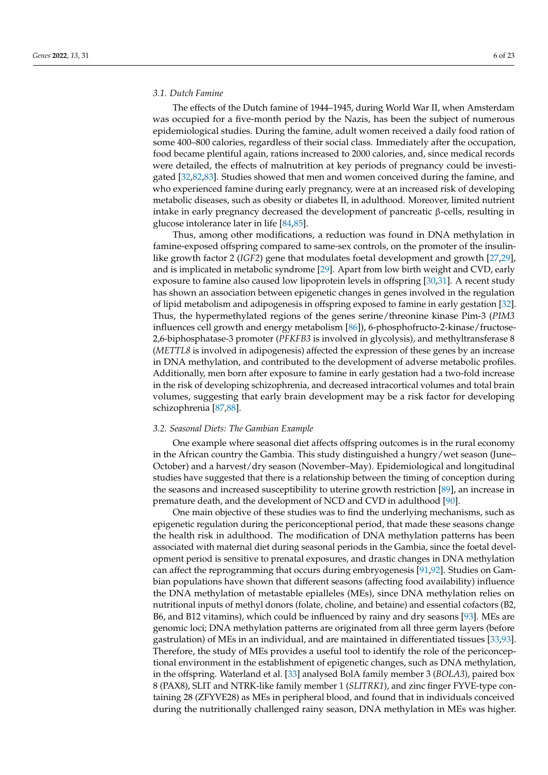#### *3.1. Dutch Famine*

The effects of the Dutch famine of 1944–1945, during World War II, when Amsterdam was occupied for a five-month period by the Nazis, has been the subject of numerous epidemiological studies. During the famine, adult women received a daily food ration of some 400–800 calories, regardless of their social class. Immediately after the occupation, food became plentiful again, rations increased to 2000 calories, and, since medical records were detailed, the effects of malnutrition at key periods of pregnancy could be investigated [\[32](#page-15-19)[,82](#page-17-18)[,83\]](#page-17-19). Studies showed that men and women conceived during the famine, and who experienced famine during early pregnancy, were at an increased risk of developing metabolic diseases, such as obesity or diabetes II, in adulthood. Moreover, limited nutrient intake in early pregnancy decreased the development of pancreatic β-cells, resulting in glucose intolerance later in life [\[84](#page-17-20)[,85\]](#page-17-21).

Thus, among other modifications, a reduction was found in DNA methylation in famine-exposed offspring compared to same-sex controls, on the promoter of the insulinlike growth factor 2 (*IGF2*) gene that modulates foetal development and growth [\[27,](#page-15-15)[29\]](#page-15-17), and is implicated in metabolic syndrome [\[29\]](#page-15-17). Apart from low birth weight and CVD, early exposure to famine also caused low lipoprotein levels in offspring [\[30](#page-15-24)[,31\]](#page-15-18). A recent study has shown an association between epigenetic changes in genes involved in the regulation of lipid metabolism and adipogenesis in offspring exposed to famine in early gestation [\[32\]](#page-15-19). Thus, the hypermethylated regions of the genes serine/threonine kinase Pim-3 (*PIM3* influences cell growth and energy metabolism [\[86\]](#page-17-22)), 6-phosphofructo-2-kinase/fructose-2,6-biphosphatase-3 promoter (*PFKFB3* is involved in glycolysis), and methyltransferase 8 (*METTL8* is involved in adipogenesis) affected the expression of these genes by an increase in DNA methylation, and contributed to the development of adverse metabolic profiles. Additionally, men born after exposure to famine in early gestation had a two-fold increase in the risk of developing schizophrenia, and decreased intracortical volumes and total brain volumes, suggesting that early brain development may be a risk factor for developing schizophrenia [\[87](#page-17-23)[,88\]](#page-17-24).

# *3.2. Seasonal Diets: The Gambian Example*

One example where seasonal diet affects offspring outcomes is in the rural economy in the African country the Gambia. This study distinguished a hungry/wet season (June– October) and a harvest/dry season (November–May). Epidemiological and longitudinal studies have suggested that there is a relationship between the timing of conception during the seasons and increased susceptibility to uterine growth restriction [\[89\]](#page-17-25), an increase in premature death, and the development of NCD and CVD in adulthood [\[90\]](#page-18-0).

One main objective of these studies was to find the underlying mechanisms, such as epigenetic regulation during the periconceptional period, that made these seasons change the health risk in adulthood. The modification of DNA methylation patterns has been associated with maternal diet during seasonal periods in the Gambia, since the foetal development period is sensitive to prenatal exposures, and drastic changes in DNA methylation can affect the reprogramming that occurs during embryogenesis [\[91](#page-18-1)[,92\]](#page-18-2). Studies on Gambian populations have shown that different seasons (affecting food availability) influence the DNA methylation of metastable epialleles (MEs), since DNA methylation relies on nutritional inputs of methyl donors (folate, choline, and betaine) and essential cofactors (B2, B6, and B12 vitamins), which could be influenced by rainy and dry seasons [\[93\]](#page-18-3). MEs are genomic loci; DNA methylation patterns are originated from all three germ layers (before gastrulation) of MEs in an individual, and are maintained in differentiated tissues [\[33,](#page-15-20)[93\]](#page-18-3). Therefore, the study of MEs provides a useful tool to identify the role of the periconceptional environment in the establishment of epigenetic changes, such as DNA methylation, in the offspring. Waterland et al. [\[33\]](#page-15-20) analysed BolA family member 3 (*BOLA3*), paired box 8 (PAX8), SLIT and NTRK-like family member 1 (*SLITRK1*), and zinc finger FYVE-type containing 28 (ZFYVE28) as MEs in peripheral blood, and found that in individuals conceived during the nutritionally challenged rainy season, DNA methylation in MEs was higher.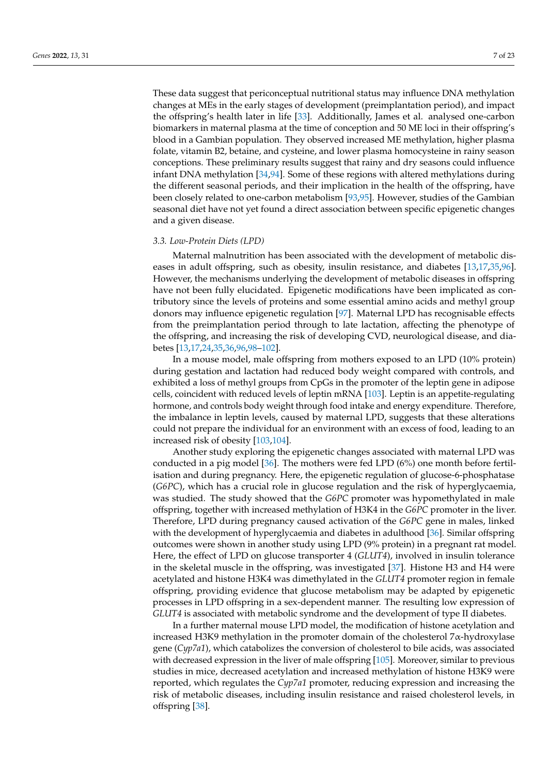These data suggest that periconceptual nutritional status may influence DNA methylation changes at MEs in the early stages of development (preimplantation period), and impact the offspring's health later in life [\[33\]](#page-15-20). Additionally, James et al. analysed one-carbon biomarkers in maternal plasma at the time of conception and 50 ME loci in their offspring's blood in a Gambian population. They observed increased ME methylation, higher plasma folate, vitamin B2, betaine, and cysteine, and lower plasma homocysteine in rainy season conceptions. These preliminary results suggest that rainy and dry seasons could influence infant DNA methylation [\[34](#page-15-21)[,94\]](#page-18-4). Some of these regions with altered methylations during the different seasonal periods, and their implication in the health of the offspring, have been closely related to one-carbon metabolism [\[93](#page-18-3)[,95\]](#page-18-5). However, studies of the Gambian seasonal diet have not yet found a direct association between specific epigenetic changes and a given disease.

## *3.3. Low-Protein Diets (LPD)*

Maternal malnutrition has been associated with the development of metabolic diseases in adult offspring, such as obesity, insulin resistance, and diabetes [\[13,](#page-15-1)[17,](#page-15-5)[35,](#page-15-22)[96\]](#page-18-6). However, the mechanisms underlying the development of metabolic diseases in offspring have not been fully elucidated. Epigenetic modifications have been implicated as contributory since the levels of proteins and some essential amino acids and methyl group donors may influence epigenetic regulation [\[97\]](#page-18-7). Maternal LPD has recognisable effects from the preimplantation period through to late lactation, affecting the phenotype of the offspring, and increasing the risk of developing CVD, neurological disease, and diabetes [\[13,](#page-15-1)[17,](#page-15-5)[24,](#page-15-12)[35,](#page-15-22)[36](#page-15-23)[,96](#page-18-6)[,98](#page-18-8)[–102\]](#page-18-9).

In a mouse model, male offspring from mothers exposed to an LPD (10% protein) during gestation and lactation had reduced body weight compared with controls, and exhibited a loss of methyl groups from CpGs in the promoter of the leptin gene in adipose cells, coincident with reduced levels of leptin mRNA [\[103\]](#page-18-10). Leptin is an appetite-regulating hormone, and controls body weight through food intake and energy expenditure. Therefore, the imbalance in leptin levels, caused by maternal LPD, suggests that these alterations could not prepare the individual for an environment with an excess of food, leading to an increased risk of obesity [\[103](#page-18-10)[,104\]](#page-18-11).

Another study exploring the epigenetic changes associated with maternal LPD was conducted in a pig model [\[36\]](#page-15-23). The mothers were fed LPD (6%) one month before fertilisation and during pregnancy. Here, the epigenetic regulation of glucose-6-phosphatase (*G6PC*), which has a crucial role in glucose regulation and the risk of hyperglycaemia, was studied. The study showed that the *G6PC* promoter was hypomethylated in male offspring, together with increased methylation of H3K4 in the *G6PC* promoter in the liver. Therefore, LPD during pregnancy caused activation of the *G6PC* gene in males, linked with the development of hyperglycaemia and diabetes in adulthood [\[36\]](#page-15-23). Similar offspring outcomes were shown in another study using LPD (9% protein) in a pregnant rat model. Here, the effect of LPD on glucose transporter 4 (*GLUT4*), involved in insulin tolerance in the skeletal muscle in the offspring, was investigated [\[37\]](#page-16-0). Histone H3 and H4 were acetylated and histone H3K4 was dimethylated in the *GLUT4* promoter region in female offspring, providing evidence that glucose metabolism may be adapted by epigenetic processes in LPD offspring in a sex-dependent manner. The resulting low expression of *GLUT4* is associated with metabolic syndrome and the development of type II diabetes.

In a further maternal mouse LPD model, the modification of histone acetylation and increased H3K9 methylation in the promoter domain of the cholesterol 7α-hydroxylase gene (*Cyp7a1*), which catabolizes the conversion of cholesterol to bile acids, was associated with decreased expression in the liver of male offspring [\[105\]](#page-18-12). Moreover, similar to previous studies in mice, decreased acetylation and increased methylation of histone H3K9 were reported, which regulates the *Cyp7a1* promoter, reducing expression and increasing the risk of metabolic diseases, including insulin resistance and raised cholesterol levels, in offspring [\[38\]](#page-16-23).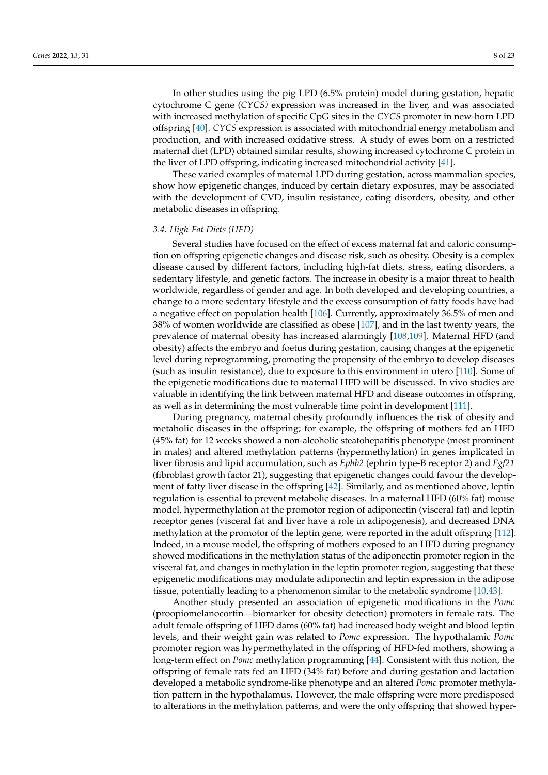In other studies using the pig LPD (6.5% protein) model during gestation, hepatic cytochrome C gene (*CYCS)* expression was increased in the liver, and was associated with increased methylation of specific CpG sites in the *CYCS* promoter in new-born LPD offspring [\[40\]](#page-16-2). *CYCS* expression is associated with mitochondrial energy metabolism and production, and with increased oxidative stress. A study of ewes born on a restricted maternal diet (LPD) obtained similar results, showing increased cytochrome C protein in the liver of LPD offspring, indicating increased mitochondrial activity [\[41\]](#page-16-3).

These varied examples of maternal LPD during gestation, across mammalian species, show how epigenetic changes, induced by certain dietary exposures, may be associated with the development of CVD, insulin resistance, eating disorders, obesity, and other metabolic diseases in offspring.

## *3.4. High-Fat Diets (HFD)*

Several studies have focused on the effect of excess maternal fat and caloric consumption on offspring epigenetic changes and disease risk, such as obesity. Obesity is a complex disease caused by different factors, including high-fat diets, stress, eating disorders, a sedentary lifestyle, and genetic factors. The increase in obesity is a major threat to health worldwide, regardless of gender and age. In both developed and developing countries, a change to a more sedentary lifestyle and the excess consumption of fatty foods have had a negative effect on population health [\[106\]](#page-18-13). Currently, approximately 36.5% of men and 38% of women worldwide are classified as obese [\[107\]](#page-18-14), and in the last twenty years, the prevalence of maternal obesity has increased alarmingly [\[108,](#page-18-15)[109\]](#page-18-16). Maternal HFD (and obesity) affects the embryo and foetus during gestation, causing changes at the epigenetic level during reprogramming, promoting the propensity of the embryo to develop diseases (such as insulin resistance), due to exposure to this environment in utero [\[110\]](#page-18-17). Some of the epigenetic modifications due to maternal HFD will be discussed. In vivo studies are valuable in identifying the link between maternal HFD and disease outcomes in offspring, as well as in determining the most vulnerable time point in development [\[111\]](#page-18-18).

During pregnancy, maternal obesity profoundly influences the risk of obesity and metabolic diseases in the offspring; for example, the offspring of mothers fed an HFD (45% fat) for 12 weeks showed a non-alcoholic steatohepatitis phenotype (most prominent in males) and altered methylation patterns (hypermethylation) in genes implicated in liver fibrosis and lipid accumulation, such as *Ephb2* (ephrin type-B receptor 2) and *Fgf21* (fibroblast growth factor 21), suggesting that epigenetic changes could favour the development of fatty liver disease in the offspring [\[42\]](#page-16-4). Similarly, and as mentioned above, leptin regulation is essential to prevent metabolic diseases. In a maternal HFD (60% fat) mouse model, hypermethylation at the promotor region of adiponectin (visceral fat) and leptin receptor genes (visceral fat and liver have a role in adipogenesis), and decreased DNA methylation at the promotor of the leptin gene, were reported in the adult offspring [\[112\]](#page-18-19). Indeed, in a mouse model, the offspring of mothers exposed to an HFD during pregnancy showed modifications in the methylation status of the adiponectin promoter region in the visceral fat, and changes in methylation in the leptin promoter region, suggesting that these epigenetic modifications may modulate adiponectin and leptin expression in the adipose tissue, potentially leading to a phenomenon similar to the metabolic syndrome [\[10,](#page-14-9)[43\]](#page-16-5).

Another study presented an association of epigenetic modifications in the *Pomc* (proopiomelanocortin—biomarker for obesity detection) promoters in female rats. The adult female offspring of HFD dams (60% fat) had increased body weight and blood leptin levels, and their weight gain was related to *Pomc* expression. The hypothalamic *Pomc* promoter region was hypermethylated in the offspring of HFD-fed mothers, showing a long-term effect on *Pomc* methylation programming [\[44\]](#page-16-6). Consistent with this notion, the offspring of female rats fed an HFD (34% fat) before and during gestation and lactation developed a metabolic syndrome-like phenotype and an altered *Pomc* promoter methylation pattern in the hypothalamus. However, the male offspring were more predisposed to alterations in the methylation patterns, and were the only offspring that showed hyper-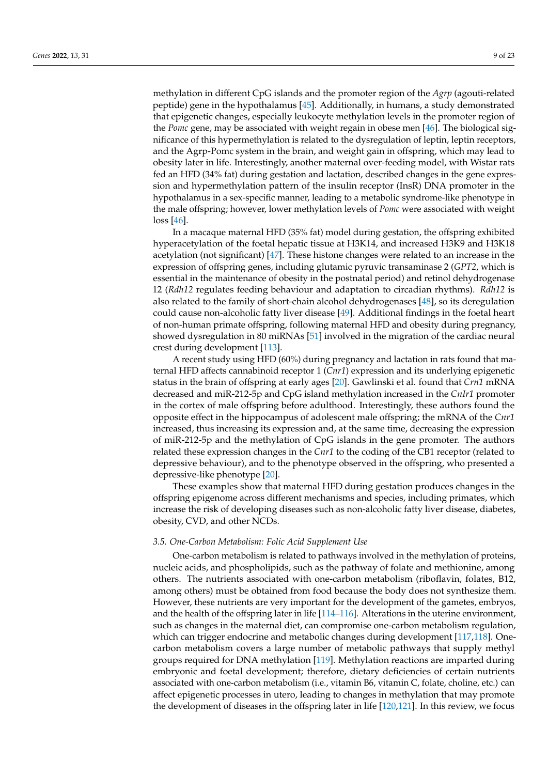methylation in different CpG islands and the promoter region of the *Agrp* (agouti-related peptide) gene in the hypothalamus [\[45\]](#page-16-7). Additionally, in humans, a study demonstrated that epigenetic changes, especially leukocyte methylation levels in the promoter region of the *Pomc* gene, may be associated with weight regain in obese men [\[46\]](#page-16-8). The biological significance of this hypermethylation is related to the dysregulation of leptin, leptin receptors, and the Agrp-Pomc system in the brain, and weight gain in offspring, which may lead to obesity later in life. Interestingly, another maternal over-feeding model, with Wistar rats fed an HFD (34% fat) during gestation and lactation, described changes in the gene expression and hypermethylation pattern of the insulin receptor (InsR) DNA promoter in the hypothalamus in a sex-specific manner, leading to a metabolic syndrome-like phenotype in the male offspring; however, lower methylation levels of *Pomc* were associated with weight loss [\[46\]](#page-16-8).

In a macaque maternal HFD (35% fat) model during gestation, the offspring exhibited hyperacetylation of the foetal hepatic tissue at H3K14, and increased H3K9 and H3K18 acetylation (not significant) [\[47\]](#page-16-9). These histone changes were related to an increase in the expression of offspring genes, including glutamic pyruvic transaminase 2 (*GPT2*, which is essential in the maintenance of obesity in the postnatal period) and retinol dehydrogenase 12 (*Rdh12* regulates feeding behaviour and adaptation to circadian rhythms). *Rdh12* is also related to the family of short-chain alcohol dehydrogenases [\[48\]](#page-16-24), so its deregulation could cause non-alcoholic fatty liver disease [\[49\]](#page-16-11). Additional findings in the foetal heart of non-human primate offspring, following maternal HFD and obesity during pregnancy, showed dysregulation in 80 miRNAs [\[51\]](#page-16-12) involved in the migration of the cardiac neural crest during development [\[113\]](#page-18-20).

A recent study using HFD (60%) during pregnancy and lactation in rats found that maternal HFD affects cannabinoid receptor 1 (*Cnr1*) expression and its underlying epigenetic status in the brain of offspring at early ages [\[20\]](#page-15-8). Gawlinski et al. found that *Crn1* mRNA decreased and miR-212-5p and CpG island methylation increased in the *CnIr1* promoter in the cortex of male offspring before adulthood. Interestingly, these authors found the opposite effect in the hippocampus of adolescent male offspring; the mRNA of the *Cnr1* increased, thus increasing its expression and, at the same time, decreasing the expression of miR-212-5p and the methylation of CpG islands in the gene promoter. The authors related these expression changes in the *Cnr1* to the coding of the CB1 receptor (related to depressive behaviour), and to the phenotype observed in the offspring, who presented a depressive-like phenotype [\[20\]](#page-15-8).

These examples show that maternal HFD during gestation produces changes in the offspring epigenome across different mechanisms and species, including primates, which increase the risk of developing diseases such as non-alcoholic fatty liver disease, diabetes, obesity, CVD, and other NCDs.

#### *3.5. One-Carbon Metabolism: Folic Acid Supplement Use*

One-carbon metabolism is related to pathways involved in the methylation of proteins, nucleic acids, and phospholipids, such as the pathway of folate and methionine, among others. The nutrients associated with one-carbon metabolism (riboflavin, folates, B12, among others) must be obtained from food because the body does not synthesize them. However, these nutrients are very important for the development of the gametes, embryos, and the health of the offspring later in life [\[114](#page-18-21)[–116\]](#page-19-0). Alterations in the uterine environment, such as changes in the maternal diet, can compromise one-carbon metabolism regulation, which can trigger endocrine and metabolic changes during development [\[117](#page-19-1)[,118\]](#page-19-2). Onecarbon metabolism covers a large number of metabolic pathways that supply methyl groups required for DNA methylation [\[119\]](#page-19-3). Methylation reactions are imparted during embryonic and foetal development; therefore, dietary deficiencies of certain nutrients associated with one-carbon metabolism (i.e., vitamin B6, vitamin C, folate, choline, etc.) can affect epigenetic processes in utero, leading to changes in methylation that may promote the development of diseases in the offspring later in life [\[120,](#page-19-4)[121\]](#page-19-5). In this review, we focus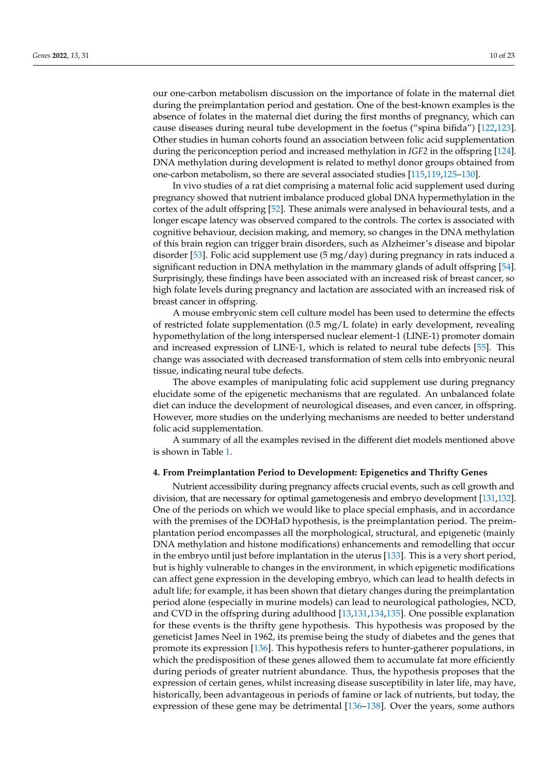our one-carbon metabolism discussion on the importance of folate in the maternal diet during the preimplantation period and gestation. One of the best-known examples is the absence of folates in the maternal diet during the first months of pregnancy, which can cause diseases during neural tube development in the foetus ("spina bifida") [\[122,](#page-19-6)[123\]](#page-19-7). Other studies in human cohorts found an association between folic acid supplementation during the periconception period and increased methylation in *IGF2* in the offspring [\[124\]](#page-19-8). DNA methylation during development is related to methyl donor groups obtained from one-carbon metabolism, so there are several associated studies [\[115,](#page-19-9)[119](#page-19-3)[,125](#page-19-10)[–130\]](#page-19-11).

In vivo studies of a rat diet comprising a maternal folic acid supplement used during pregnancy showed that nutrient imbalance produced global DNA hypermethylation in the cortex of the adult offspring [\[52\]](#page-16-13). These animals were analysed in behavioural tests, and a longer escape latency was observed compared to the controls. The cortex is associated with cognitive behaviour, decision making, and memory, so changes in the DNA methylation of this brain region can trigger brain disorders, such as Alzheimer's disease and bipolar disorder [\[53\]](#page-16-14). Folic acid supplement use (5 mg/day) during pregnancy in rats induced a significant reduction in DNA methylation in the mammary glands of adult offspring [\[54\]](#page-16-15). Surprisingly, these findings have been associated with an increased risk of breast cancer, so high folate levels during pregnancy and lactation are associated with an increased risk of breast cancer in offspring.

A mouse embryonic stem cell culture model has been used to determine the effects of restricted folate supplementation (0.5 mg/L folate) in early development, revealing hypomethylation of the long interspersed nuclear element-1 (LINE-1) promoter domain and increased expression of LINE-1, which is related to neural tube defects [\[55\]](#page-16-16). This change was associated with decreased transformation of stem cells into embryonic neural tissue, indicating neural tube defects.

The above examples of manipulating folic acid supplement use during pregnancy elucidate some of the epigenetic mechanisms that are regulated. An unbalanced folate diet can induce the development of neurological diseases, and even cancer, in offspring. However, more studies on the underlying mechanisms are needed to better understand folic acid supplementation.

A summary of all the examples revised in the different diet models mentioned above is shown in Table [1.](#page-3-0)

#### **4. From Preimplantation Period to Development: Epigenetics and Thrifty Genes**

Nutrient accessibility during pregnancy affects crucial events, such as cell growth and division, that are necessary for optimal gametogenesis and embryo development [\[131](#page-19-12)[,132\]](#page-19-13). One of the periods on which we would like to place special emphasis, and in accordance with the premises of the DOHaD hypothesis, is the preimplantation period. The preimplantation period encompasses all the morphological, structural, and epigenetic (mainly DNA methylation and histone modifications) enhancements and remodelling that occur in the embryo until just before implantation in the uterus [\[133\]](#page-19-14). This is a very short period, but is highly vulnerable to changes in the environment, in which epigenetic modifications can affect gene expression in the developing embryo, which can lead to health defects in adult life; for example, it has been shown that dietary changes during the preimplantation period alone (especially in murine models) can lead to neurological pathologies, NCD, and CVD in the offspring during adulthood [\[13,](#page-15-1)[131](#page-19-12)[,134](#page-19-15)[,135\]](#page-19-16). One possible explanation for these events is the thrifty gene hypothesis. This hypothesis was proposed by the geneticist James Neel in 1962, its premise being the study of diabetes and the genes that promote its expression [\[136\]](#page-19-17). This hypothesis refers to hunter-gatherer populations, in which the predisposition of these genes allowed them to accumulate fat more efficiently during periods of greater nutrient abundance. Thus, the hypothesis proposes that the expression of certain genes, whilst increasing disease susceptibility in later life, may have, historically, been advantageous in periods of famine or lack of nutrients, but today, the expression of these gene may be detrimental [\[136](#page-19-17)[–138\]](#page-19-18). Over the years, some authors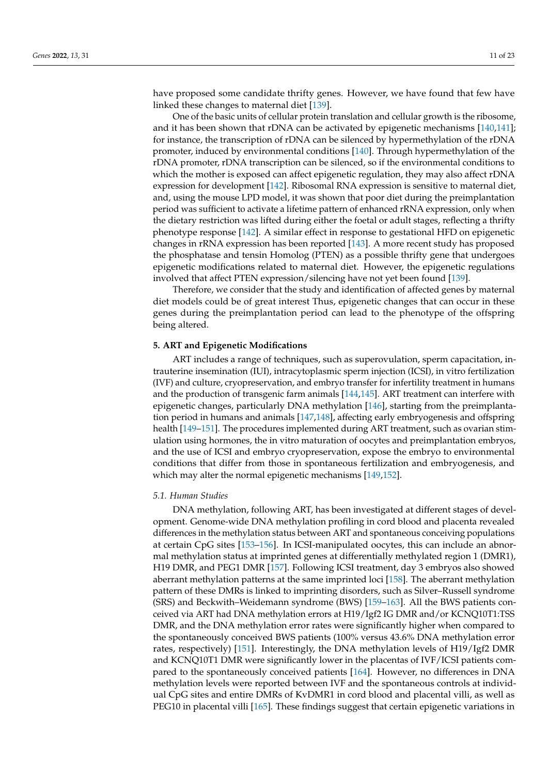have proposed some candidate thrifty genes. However, we have found that few have linked these changes to maternal diet [\[139\]](#page-19-19).

One of the basic units of cellular protein translation and cellular growth is the ribosome, and it has been shown that rDNA can be activated by epigenetic mechanisms [\[140,](#page-19-20)[141\]](#page-20-0); for instance, the transcription of rDNA can be silenced by hypermethylation of the rDNA promoter, induced by environmental conditions [\[140\]](#page-19-20). Through hypermethylation of the rDNA promoter, rDNA transcription can be silenced, so if the environmental conditions to which the mother is exposed can affect epigenetic regulation, they may also affect rDNA expression for development [\[142\]](#page-20-1). Ribosomal RNA expression is sensitive to maternal diet, and, using the mouse LPD model, it was shown that poor diet during the preimplantation period was sufficient to activate a lifetime pattern of enhanced rRNA expression, only when the dietary restriction was lifted during either the foetal or adult stages, reflecting a thrifty phenotype response [\[142\]](#page-20-1). A similar effect in response to gestational HFD on epigenetic changes in rRNA expression has been reported [\[143\]](#page-20-2). A more recent study has proposed the phosphatase and tensin Homolog (PTEN) as a possible thrifty gene that undergoes epigenetic modifications related to maternal diet. However, the epigenetic regulations involved that affect PTEN expression/silencing have not yet been found [\[139\]](#page-19-19).

Therefore, we consider that the study and identification of affected genes by maternal diet models could be of great interest Thus, epigenetic changes that can occur in these genes during the preimplantation period can lead to the phenotype of the offspring being altered.

# **5. ART and Epigenetic Modifications**

ART includes a range of techniques, such as superovulation, sperm capacitation, intrauterine insemination (IUI), intracytoplasmic sperm injection (ICSI), in vitro fertilization (IVF) and culture, cryopreservation, and embryo transfer for infertility treatment in humans and the production of transgenic farm animals [\[144](#page-20-3)[,145\]](#page-20-4). ART treatment can interfere with epigenetic changes, particularly DNA methylation [\[146\]](#page-20-5), starting from the preimplantation period in humans and animals [\[147,](#page-20-6)[148\]](#page-20-7), affecting early embryogenesis and offspring health [\[149–](#page-20-8)[151\]](#page-20-9). The procedures implemented during ART treatment, such as ovarian stimulation using hormones, the in vitro maturation of oocytes and preimplantation embryos, and the use of ICSI and embryo cryopreservation, expose the embryo to environmental conditions that differ from those in spontaneous fertilization and embryogenesis, and which may alter the normal epigenetic mechanisms [\[149,](#page-20-8)[152\]](#page-20-10).

#### *5.1. Human Studies*

DNA methylation, following ART, has been investigated at different stages of development. Genome-wide DNA methylation profiling in cord blood and placenta revealed differences in the methylation status between ART and spontaneous conceiving populations at certain CpG sites [\[153–](#page-20-11)[156\]](#page-20-12). In ICSI-manipulated oocytes, this can include an abnormal methylation status at imprinted genes at differentially methylated region 1 (DMR1), H19 DMR, and PEG1 DMR [\[157\]](#page-20-13). Following ICSI treatment, day 3 embryos also showed aberrant methylation patterns at the same imprinted loci [\[158\]](#page-20-14). The aberrant methylation pattern of these DMRs is linked to imprinting disorders, such as Silver–Russell syndrome (SRS) and Beckwith–Weidemann syndrome (BWS) [\[159–](#page-20-15)[163\]](#page-20-16). All the BWS patients conceived via ART had DNA methylation errors at H19/Igf2 IG DMR and/or KCNQ10T1:TSS DMR, and the DNA methylation error rates were significantly higher when compared to the spontaneously conceived BWS patients (100% versus 43.6% DNA methylation error rates, respectively) [\[151\]](#page-20-9). Interestingly, the DNA methylation levels of H19/Igf2 DMR and KCNQ10T1 DMR were significantly lower in the placentas of IVF/ICSI patients compared to the spontaneously conceived patients [\[164\]](#page-20-17). However, no differences in DNA methylation levels were reported between IVF and the spontaneous controls at individual CpG sites and entire DMRs of KvDMR1 in cord blood and placental villi, as well as PEG10 in placental villi [\[165\]](#page-21-0). These findings suggest that certain epigenetic variations in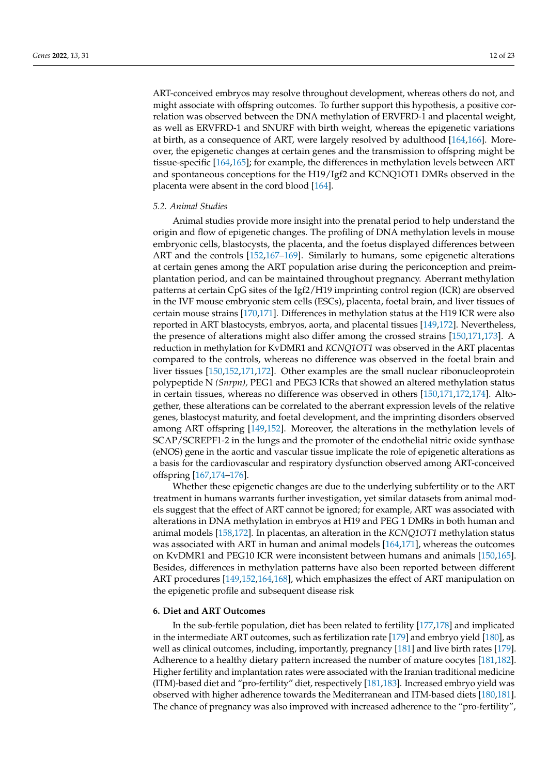ART-conceived embryos may resolve throughout development, whereas others do not, and might associate with offspring outcomes. To further support this hypothesis, a positive correlation was observed between the DNA methylation of ERVFRD-1 and placental weight, as well as ERVFRD-1 and SNURF with birth weight, whereas the epigenetic variations at birth, as a consequence of ART, were largely resolved by adulthood [\[164](#page-20-17)[,166\]](#page-21-1). Moreover, the epigenetic changes at certain genes and the transmission to offspring might be tissue-specific [\[164](#page-20-17)[,165\]](#page-21-0); for example, the differences in methylation levels between ART and spontaneous conceptions for the H19/Igf2 and KCNQ1OT1 DMRs observed in the placenta were absent in the cord blood [\[164\]](#page-20-17).

## *5.2. Animal Studies*

Animal studies provide more insight into the prenatal period to help understand the origin and flow of epigenetic changes. The profiling of DNA methylation levels in mouse embryonic cells, blastocysts, the placenta, and the foetus displayed differences between ART and the controls [\[152,](#page-20-10)[167–](#page-21-2)[169\]](#page-21-3). Similarly to humans, some epigenetic alterations at certain genes among the ART population arise during the periconception and preimplantation period, and can be maintained throughout pregnancy. Aberrant methylation patterns at certain CpG sites of the Igf2/H19 imprinting control region (ICR) are observed in the IVF mouse embryonic stem cells (ESCs), placenta, foetal brain, and liver tissues of certain mouse strains [\[170,](#page-21-4)[171\]](#page-21-5). Differences in methylation status at the H19 ICR were also reported in ART blastocysts, embryos, aorta, and placental tissues [\[149,](#page-20-8)[172\]](#page-21-6). Nevertheless, the presence of alterations might also differ among the crossed strains [\[150,](#page-20-18)[171,](#page-21-5)[173\]](#page-21-7). A reduction in methylation for KvDMR1 and *KCNQ1OT1* was observed in the ART placentas compared to the controls, whereas no difference was observed in the foetal brain and liver tissues [\[150](#page-20-18)[,152](#page-20-10)[,171](#page-21-5)[,172\]](#page-21-6). Other examples are the small nuclear ribonucleoprotein polypeptide N *(Snrpn),* PEG1 and PEG3 ICRs that showed an altered methylation status in certain tissues, whereas no difference was observed in others [\[150,](#page-20-18)[171,](#page-21-5)[172,](#page-21-6)[174\]](#page-21-8). Altogether, these alterations can be correlated to the aberrant expression levels of the relative genes, blastocyst maturity, and foetal development, and the imprinting disorders observed among ART offspring [\[149](#page-20-8)[,152\]](#page-20-10). Moreover, the alterations in the methylation levels of SCAP/SCREPF1-2 in the lungs and the promoter of the endothelial nitric oxide synthase (eNOS) gene in the aortic and vascular tissue implicate the role of epigenetic alterations as a basis for the cardiovascular and respiratory dysfunction observed among ART-conceived offspring [\[167](#page-21-2)[,174–](#page-21-8)[176\]](#page-21-9).

Whether these epigenetic changes are due to the underlying subfertility or to the ART treatment in humans warrants further investigation, yet similar datasets from animal models suggest that the effect of ART cannot be ignored; for example, ART was associated with alterations in DNA methylation in embryos at H19 and PEG 1 DMRs in both human and animal models [\[158](#page-20-14)[,172\]](#page-21-6). In placentas, an alteration in the *KCNQ1OT1* methylation status was associated with ART in human and animal models [\[164](#page-20-17)[,171\]](#page-21-5), whereas the outcomes on KvDMR1 and PEG10 ICR were inconsistent between humans and animals [\[150,](#page-20-18)[165\]](#page-21-0). Besides, differences in methylation patterns have also been reported between different ART procedures [\[149,](#page-20-8)[152,](#page-20-10)[164,](#page-20-17)[168\]](#page-21-10), which emphasizes the effect of ART manipulation on the epigenetic profile and subsequent disease risk

#### **6. Diet and ART Outcomes**

In the sub-fertile population, diet has been related to fertility [\[177](#page-21-11)[,178\]](#page-21-12) and implicated in the intermediate ART outcomes, such as fertilization rate [\[179\]](#page-21-13) and embryo yield [\[180\]](#page-21-14), as well as clinical outcomes, including, importantly, pregnancy [\[181\]](#page-21-15) and live birth rates [\[179\]](#page-21-13). Adherence to a healthy dietary pattern increased the number of mature oocytes [\[181,](#page-21-15)[182\]](#page-21-16). Higher fertility and implantation rates were associated with the Iranian traditional medicine (ITM)-based diet and "pro-fertility" diet, respectively [\[181,](#page-21-15)[183\]](#page-21-17). Increased embryo yield was observed with higher adherence towards the Mediterranean and ITM-based diets [\[180](#page-21-14)[,181\]](#page-21-15). The chance of pregnancy was also improved with increased adherence to the "pro-fertility",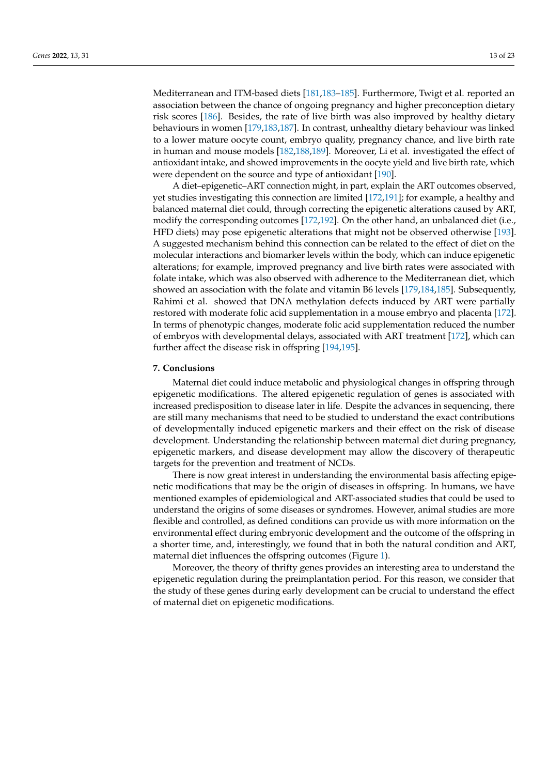Mediterranean and ITM-based diets [\[181](#page-21-15)[,183–](#page-21-17)[185\]](#page-21-18). Furthermore, Twigt et al. reported an association between the chance of ongoing pregnancy and higher preconception dietary risk scores [\[186\]](#page-21-19). Besides, the rate of live birth was also improved by healthy dietary behaviours in women [\[179,](#page-21-13)[183,](#page-21-17)[187\]](#page-22-0). In contrast, unhealthy dietary behaviour was linked to a lower mature oocyte count, embryo quality, pregnancy chance, and live birth rate in human and mouse models [\[182](#page-21-16)[,188](#page-22-1)[,189\]](#page-22-2). Moreover, Li et al. investigated the effect of antioxidant intake, and showed improvements in the oocyte yield and live birth rate, which were dependent on the source and type of antioxidant [\[190\]](#page-22-3).

A diet–epigenetic–ART connection might, in part, explain the ART outcomes observed, yet studies investigating this connection are limited [\[172](#page-21-6)[,191\]](#page-22-4); for example, a healthy and balanced maternal diet could, through correcting the epigenetic alterations caused by ART, modify the corresponding outcomes [\[172](#page-21-6)[,192\]](#page-22-5). On the other hand, an unbalanced diet (i.e., HFD diets) may pose epigenetic alterations that might not be observed otherwise [\[193\]](#page-22-6). A suggested mechanism behind this connection can be related to the effect of diet on the molecular interactions and biomarker levels within the body, which can induce epigenetic alterations; for example, improved pregnancy and live birth rates were associated with folate intake, which was also observed with adherence to the Mediterranean diet, which showed an association with the folate and vitamin B6 levels [\[179](#page-21-13)[,184](#page-21-20)[,185\]](#page-21-18). Subsequently, Rahimi et al. showed that DNA methylation defects induced by ART were partially restored with moderate folic acid supplementation in a mouse embryo and placenta [\[172\]](#page-21-6). In terms of phenotypic changes, moderate folic acid supplementation reduced the number of embryos with developmental delays, associated with ART treatment [\[172\]](#page-21-6), which can further affect the disease risk in offspring [\[194](#page-22-7)[,195\]](#page-22-8).

#### **7. Conclusions**

Maternal diet could induce metabolic and physiological changes in offspring through epigenetic modifications. The altered epigenetic regulation of genes is associated with increased predisposition to disease later in life. Despite the advances in sequencing, there are still many mechanisms that need to be studied to understand the exact contributions of developmentally induced epigenetic markers and their effect on the risk of disease development. Understanding the relationship between maternal diet during pregnancy, epigenetic markers, and disease development may allow the discovery of therapeutic targets for the prevention and treatment of NCDs.

There is now great interest in understanding the environmental basis affecting epigenetic modifications that may be the origin of diseases in offspring. In humans, we have mentioned examples of epidemiological and ART-associated studies that could be used to understand the origins of some diseases or syndromes. However, animal studies are more flexible and controlled, as defined conditions can provide us with more information on the environmental effect during embryonic development and the outcome of the offspring in a shorter time, and, interestingly, we found that in both the natural condition and ART, maternal diet influences the offspring outcomes (Figure [1\)](#page-13-0).

Moreover, the theory of thrifty genes provides an interesting area to understand the epigenetic regulation during the preimplantation period. For this reason, we consider that the study of these genes during early development can be crucial to understand the effect of maternal diet on epigenetic modifications.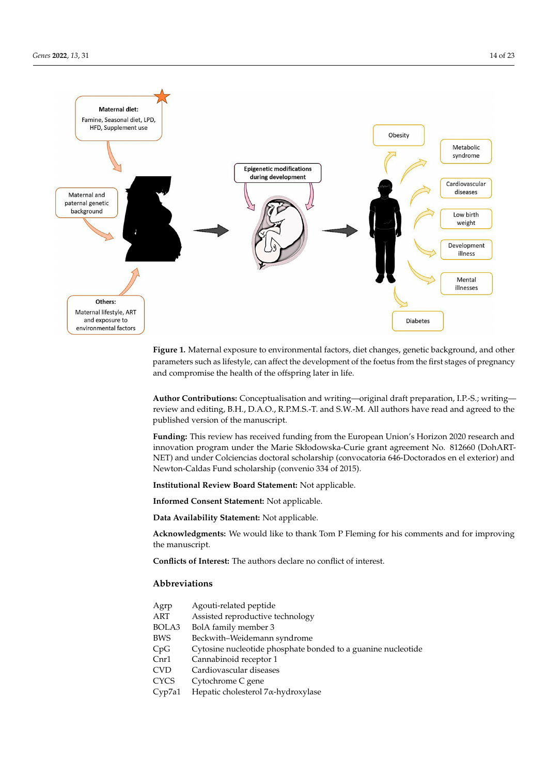<span id="page-13-0"></span>

**Figure 1.** Maternal exposure to environmental factors, diet changes, genetic background, and other **Figure 1.** Maternal exposure to environmental factors, diet changes, genetic background, and other parameters such as lifestyle, can affect the development of the foetus from the first stages of pregnancy and compromise the health of the offspring later in life.

**Author Contributions:** Conceptualisation and writing—original draft preparation, I.P.-S.; writing— **Author Contributions:** Conceptualisation and writing—original draft preparation, I.P.-S.; writing review and editing, B.H., D.A.O., R.P.M.S.-T. and S.W.-M. All authors have read and agreed to the published version of the manuscript.

**Funding:** This review has received funding from the European Union's Horizon 2020 research and **Funding:** This review has received funding from the European Union's Horizon 2020 research and innovation program under the Marie Skłodowska-Curie grant agreement No. 812660 (DohART-NET) and under Colciencias doctoral scholarship (convocatoria 646-Doctorados en el exterior) and Newton-Caldas Fund scholarship (convenio 334 of 2015).

**Institutional Review Board Statement:** Not applicable.

**Informed Consent Statement:** Not applicable.

**Data Availability Statement:** Not applicable.

**Acknowledgments:** We would like to thank Tom P Fleming for his comments and for improving the manuscript.

**Conflicts of Interest:** The authors declare no conflict of interest.

## **Abbreviations**

| Agrp   | Agouti-related peptide                                       |
|--------|--------------------------------------------------------------|
| ART    | Assisted reproductive technology                             |
| BOLA3  | BolA family member 3                                         |
| BWS    | Beckwith–Weidemann syndrome                                  |
| CpG    | Cytosine nucleotide phosphate bonded to a guanine nucleotide |
| Cnr1   | Cannabinoid receptor 1                                       |
| CVD    | Cardiovascular diseases                                      |
| CYCS   | Cytochrome C gene                                            |
| Cvp7a1 | Hepatic cholesterol $7\alpha$ -hydroxylase                   |
|        |                                                              |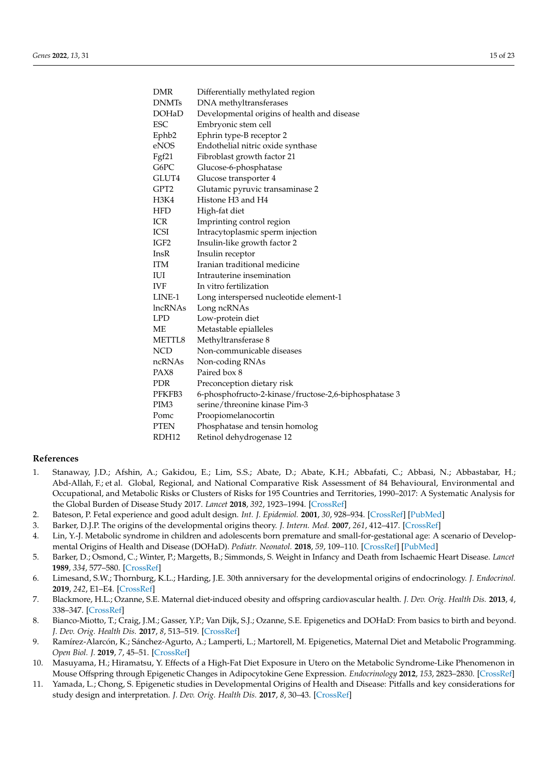| <b>DMR</b>       | Differentially methylated region                      |  |
|------------------|-------------------------------------------------------|--|
| <b>DNMTs</b>     | DNA methyltransferases                                |  |
| <b>DOHaD</b>     | Developmental origins of health and disease           |  |
| <b>ESC</b>       | Embryonic stem cell                                   |  |
| Ephb2            | Ephrin type-B receptor 2                              |  |
| eNOS             | Endothelial nitric oxide synthase                     |  |
| Fgf21            | Fibroblast growth factor 21                           |  |
| G6PC             | Glucose-6-phosphatase                                 |  |
| GLUT4            | Glucose transporter 4                                 |  |
| GPT2             | Glutamic pyruvic transaminase 2                       |  |
| H3K4             | Histone H <sub>3</sub> and H <sub>4</sub>             |  |
| <b>HFD</b>       | High-fat diet                                         |  |
| <b>ICR</b>       | Imprinting control region                             |  |
| ICSI             | Intracytoplasmic sperm injection                      |  |
| IGF <sub>2</sub> | Insulin-like growth factor 2                          |  |
| InsR             | Insulin receptor                                      |  |
| <b>ITM</b>       | Iranian traditional medicine                          |  |
| IUI              | Intrauterine insemination                             |  |
| <b>IVF</b>       | In vitro fertilization                                |  |
| LINE-1           | Long interspersed nucleotide element-1                |  |
| <b>lncRNAs</b>   | Long ncRNAs                                           |  |
| <b>LPD</b>       | Low-protein diet                                      |  |
| МE               | Metastable epialleles                                 |  |
| METTL8           | Methyltransferase 8                                   |  |
| <b>NCD</b>       | Non-communicable diseases                             |  |
| ncRNAs           | Non-coding RNAs                                       |  |
| PAX8             | Paired box 8                                          |  |
| <b>PDR</b>       | Preconception dietary risk                            |  |
| PFKFB3           | 6-phosphofructo-2-kinase/fructose-2,6-biphosphatase 3 |  |
| PIM <sub>3</sub> | serine/threonine kinase Pim-3                         |  |
| Pomc             | Proopiomelanocortin                                   |  |
| <b>PTEN</b>      | Phosphatase and tensin homolog                        |  |
| RDH12            | Retinol dehydrogenase 12                              |  |

# **References**

- <span id="page-14-0"></span>1. Stanaway, J.D.; Afshin, A.; Gakidou, E.; Lim, S.S.; Abate, D.; Abate, K.H.; Abbafati, C.; Abbasi, N.; Abbastabar, H.; Abd-Allah, F.; et al. Global, Regional, and National Comparative Risk Assessment of 84 Behavioural, Environmental and Occupational, and Metabolic Risks or Clusters of Risks for 195 Countries and Territories, 1990–2017: A Systematic Analysis for the Global Burden of Disease Study 2017. *Lancet* **2018**, *392*, 1923–1994. [\[CrossRef\]](http://doi.org/10.1016/S0140-6736(18)32225-6)
- <span id="page-14-1"></span>2. Bateson, P. Fetal experience and good adult design. *Int. J. Epidemiol.* **2001**, *30*, 928–934. [\[CrossRef\]](http://doi.org/10.1093/ije/30.5.928) [\[PubMed\]](http://www.ncbi.nlm.nih.gov/pubmed/11689495)
- <span id="page-14-2"></span>3. Barker, D.J.P. The origins of the developmental origins theory. *J. Intern. Med.* **2007**, *261*, 412–417. [\[CrossRef\]](http://doi.org/10.1111/j.1365-2796.2007.01809.x)
- <span id="page-14-3"></span>4. Lin, Y.-J. Metabolic syndrome in children and adolescents born premature and small-for-gestational age: A scenario of Developmental Origins of Health and Disease (DOHaD). *Pediatr. Neonatol.* **2018**, *59*, 109–110. [\[CrossRef\]](http://doi.org/10.1016/j.pedneo.2018.02.009) [\[PubMed\]](http://www.ncbi.nlm.nih.gov/pubmed/29555173)
- <span id="page-14-4"></span>5. Barker, D.; Osmond, C.; Winter, P.; Margetts, B.; Simmonds, S. Weight in Infancy and Death from Ischaemic Heart Disease. *Lancet* **1989**, *334*, 577–580. [\[CrossRef\]](http://doi.org/10.1016/S0140-6736(89)90710-1)
- <span id="page-14-5"></span>6. Limesand, S.W.; Thornburg, K.L.; Harding, J.E. 30th anniversary for the developmental origins of endocrinology. *J. Endocrinol.* **2019**, *242*, E1–E4. [\[CrossRef\]](http://doi.org/10.1530/JOE-19-0227)
- <span id="page-14-6"></span>7. Blackmore, H.L.; Ozanne, S.E. Maternal diet-induced obesity and offspring cardiovascular health. *J. Dev. Orig. Health Dis.* **2013**, *4*, 338–347. [\[CrossRef\]](http://doi.org/10.1017/S2040174412000761)
- <span id="page-14-7"></span>8. Bianco-Miotto, T.; Craig, J.M.; Gasser, Y.P.; Van Dijk, S.J.; Ozanne, S.E. Epigenetics and DOHaD: From basics to birth and beyond. *J. Dev. Orig. Health Dis.* **2017**, *8*, 513–519. [\[CrossRef\]](http://doi.org/10.1017/S2040174417000733)
- <span id="page-14-8"></span>9. Ramírez-Alarcón, K.; Sánchez-Agurto, A.; Lamperti, L.; Martorell, M. Epigenetics, Maternal Diet and Metabolic Programming. *Open Biol. J.* **2019**, *7*, 45–51. [\[CrossRef\]](http://doi.org/10.2174/1874196701907010045)
- <span id="page-14-9"></span>10. Masuyama, H.; Hiramatsu, Y. Effects of a High-Fat Diet Exposure in Utero on the Metabolic Syndrome-Like Phenomenon in Mouse Offspring through Epigenetic Changes in Adipocytokine Gene Expression. *Endocrinology* **2012**, *153*, 2823–2830. [\[CrossRef\]](http://doi.org/10.1210/en.2011-2161)
- <span id="page-14-10"></span>11. Yamada, L.; Chong, S. Epigenetic studies in Developmental Origins of Health and Disease: Pitfalls and key considerations for study design and interpretation. *J. Dev. Orig. Health Dis.* **2017**, *8*, 30–43. [\[CrossRef\]](http://doi.org/10.1017/S2040174416000507)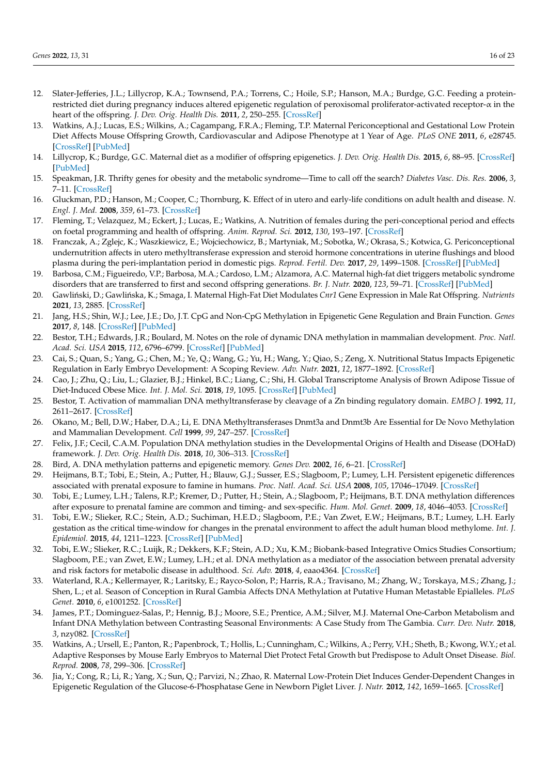- <span id="page-15-0"></span>12. Slater-Jefferies, J.L.; Lillycrop, K.A.; Townsend, P.A.; Torrens, C.; Hoile, S.P.; Hanson, M.A.; Burdge, G.C. Feeding a proteinrestricted diet during pregnancy induces altered epigenetic regulation of peroxisomal proliferator-activated receptor- $\alpha$  in the heart of the offspring. *J. Dev. Orig. Health Dis.* **2011**, *2*, 250–255. [\[CrossRef\]](http://doi.org/10.1017/S2040174410000425)
- <span id="page-15-1"></span>13. Watkins, A.J.; Lucas, E.S.; Wilkins, A.; Cagampang, F.R.A.; Fleming, T.P. Maternal Periconceptional and Gestational Low Protein Diet Affects Mouse Offspring Growth, Cardiovascular and Adipose Phenotype at 1 Year of Age. *PLoS ONE* **2011**, *6*, e28745. [\[CrossRef\]](http://doi.org/10.1371/journal.pone.0028745) [\[PubMed\]](http://www.ncbi.nlm.nih.gov/pubmed/22194901)
- <span id="page-15-2"></span>14. Lillycrop, K.; Burdge, G.C. Maternal diet as a modifier of offspring epigenetics. *J. Dev. Orig. Health Dis.* **2015**, *6*, 88–95. [\[CrossRef\]](http://doi.org/10.1017/S2040174415000124) [\[PubMed\]](http://www.ncbi.nlm.nih.gov/pubmed/25857738)
- <span id="page-15-3"></span>15. Speakman, J.R. Thrifty genes for obesity and the metabolic syndrome—Time to call off the search? *Diabetes Vasc. Dis. Res.* **2006**, *3*, 7–11. [\[CrossRef\]](http://doi.org/10.3132/dvdr.2006.010)
- <span id="page-15-4"></span>16. Gluckman, P.D.; Hanson, M.; Cooper, C.; Thornburg, K. Effect of in utero and early-life conditions on adult health and disease. *N. Engl. J. Med.* **2008**, *359*, 61–73. [\[CrossRef\]](http://doi.org/10.1056/NEJMra0708473)
- <span id="page-15-5"></span>17. Fleming, T.; Velazquez, M.; Eckert, J.; Lucas, E.; Watkins, A. Nutrition of females during the peri-conceptional period and effects on foetal programming and health of offspring. *Anim. Reprod. Sci.* **2012**, *130*, 193–197. [\[CrossRef\]](http://doi.org/10.1016/j.anireprosci.2012.01.015)
- <span id="page-15-6"></span>18. Franczak, A.; Zglejc, K.; Waszkiewicz, E.; Wojciechowicz, B.; Martyniak, M.; Sobotka, W.; Okrasa, S.; Kotwica, G. Periconceptional undernutrition affects in utero methyltransferase expression and steroid hormone concentrations in uterine flushings and blood plasma during the peri-implantation period in domestic pigs. *Reprod. Fertil. Dev.* **2017**, *29*, 1499–1508. [\[CrossRef\]](http://doi.org/10.1071/RD16124) [\[PubMed\]](http://www.ncbi.nlm.nih.gov/pubmed/27534526)
- <span id="page-15-7"></span>19. Barbosa, C.M.; Figueiredo, V.P.; Barbosa, M.A.; Cardoso, L.M.; Alzamora, A.C. Maternal high-fat diet triggers metabolic syndrome disorders that are transferred to first and second offspring generations. *Br. J. Nutr.* **2020**, *123*, 59–71. [\[CrossRef\]](http://doi.org/10.1017/S0007114519002708) [\[PubMed\]](http://www.ncbi.nlm.nih.gov/pubmed/31666143)
- <span id="page-15-8"></span>20. Gawliński, D.; Gawlińska, K.; Smaga, I. Maternal High-Fat Diet Modulates *Cnr1* Gene Expression in Male Rat Offspring. *Nutrients* **2021**, *13*, 2885. [\[CrossRef\]](http://doi.org/10.3390/nu13082885)
- <span id="page-15-9"></span>21. Jang, H.S.; Shin, W.J.; Lee, J.E.; Do, J.T. CpG and Non-CpG Methylation in Epigenetic Gene Regulation and Brain Function. *Genes* **2017**, *8*, 148. [\[CrossRef\]](http://doi.org/10.3390/genes8060148) [\[PubMed\]](http://www.ncbi.nlm.nih.gov/pubmed/28545252)
- <span id="page-15-10"></span>22. Bestor, T.H.; Edwards, J.R.; Boulard, M. Notes on the role of dynamic DNA methylation in mammalian development. *Proc. Natl. Acad. Sci. USA* **2015**, *112*, 6796–6799. [\[CrossRef\]](http://doi.org/10.1073/pnas.1415301111) [\[PubMed\]](http://www.ncbi.nlm.nih.gov/pubmed/25368180)
- <span id="page-15-11"></span>23. Cai, S.; Quan, S.; Yang, G.; Chen, M.; Ye, Q.; Wang, G.; Yu, H.; Wang, Y.; Qiao, S.; Zeng, X. Nutritional Status Impacts Epigenetic Regulation in Early Embryo Development: A Scoping Review. *Adv. Nutr.* **2021**, *12*, 1877–1892. [\[CrossRef\]](http://doi.org/10.1093/advances/nmab038)
- <span id="page-15-12"></span>24. Cao, J.; Zhu, Q.; Liu, L.; Glazier, B.J.; Hinkel, B.C.; Liang, C.; Shi, H. Global Transcriptome Analysis of Brown Adipose Tissue of Diet-Induced Obese Mice. *Int. J. Mol. Sci.* **2018**, *19*, 1095. [\[CrossRef\]](http://doi.org/10.3390/ijms19041095) [\[PubMed\]](http://www.ncbi.nlm.nih.gov/pubmed/29642370)
- <span id="page-15-13"></span>25. Bestor, T. Activation of mammalian DNA methyltransferase by cleavage of a Zn binding regulatory domain. *EMBO J.* **1992**, *11*, 2611–2617. [\[CrossRef\]](http://doi.org/10.1002/j.1460-2075.1992.tb05326.x)
- <span id="page-15-14"></span>26. Okano, M.; Bell, D.W.; Haber, D.A.; Li, E. DNA Methyltransferases Dnmt3a and Dnmt3b Are Essential for De Novo Methylation and Mammalian Development. *Cell* **1999**, *99*, 247–257. [\[CrossRef\]](http://doi.org/10.1016/S0092-8674(00)81656-6)
- <span id="page-15-15"></span>27. Felix, J.F.; Cecil, C.A.M. Population DNA methylation studies in the Developmental Origins of Health and Disease (DOHaD) framework. *J. Dev. Orig. Health Dis.* **2018**, *10*, 306–313. [\[CrossRef\]](http://doi.org/10.1017/S2040174418000442)
- <span id="page-15-16"></span>28. Bird, A. DNA methylation patterns and epigenetic memory. *Genes Dev.* **2002**, *16*, 6–21. [\[CrossRef\]](http://doi.org/10.1101/gad.947102)
- <span id="page-15-17"></span>29. Heijmans, B.T.; Tobi, E.; Stein, A.; Putter, H.; Blauw, G.J.; Susser, E.S.; Slagboom, P.; Lumey, L.H. Persistent epigenetic differences associated with prenatal exposure to famine in humans. *Proc. Natl. Acad. Sci. USA* **2008**, *105*, 17046–17049. [\[CrossRef\]](http://doi.org/10.1073/pnas.0806560105)
- <span id="page-15-24"></span>30. Tobi, E.; Lumey, L.H.; Talens, R.P.; Kremer, D.; Putter, H.; Stein, A.; Slagboom, P.; Heijmans, B.T. DNA methylation differences after exposure to prenatal famine are common and timing- and sex-specific. *Hum. Mol. Genet.* **2009**, *18*, 4046–4053. [\[CrossRef\]](http://doi.org/10.1093/hmg/ddp353)
- <span id="page-15-18"></span>31. Tobi, E.W.; Slieker, R.C.; Stein, A.D.; Suchiman, H.E.D.; Slagboom, P.E.; Van Zwet, E.W.; Heijmans, B.T.; Lumey, L.H. Early gestation as the critical time-window for changes in the prenatal environment to affect the adult human blood methylome. *Int. J. Epidemiol.* **2015**, *44*, 1211–1223. [\[CrossRef\]](http://doi.org/10.1093/ije/dyv043) [\[PubMed\]](http://www.ncbi.nlm.nih.gov/pubmed/25944819)
- <span id="page-15-19"></span>32. Tobi, E.W.; Slieker, R.C.; Luijk, R.; Dekkers, K.F.; Stein, A.D.; Xu, K.M.; Biobank-based Integrative Omics Studies Consortium; Slagboom, P.E.; van Zwet, E.W.; Lumey, L.H.; et al. DNA methylation as a mediator of the association between prenatal adversity and risk factors for metabolic disease in adulthood. *Sci. Adv.* **2018**, *4*, eaao4364. [\[CrossRef\]](http://doi.org/10.1126/sciadv.aao4364)
- <span id="page-15-20"></span>33. Waterland, R.A.; Kellermayer, R.; Laritsky, E.; Rayco-Solon, P.; Harris, R.A.; Travisano, M.; Zhang, W.; Torskaya, M.S.; Zhang, J.; Shen, L.; et al. Season of Conception in Rural Gambia Affects DNA Methylation at Putative Human Metastable Epialleles. *PLoS Genet.* **2010**, *6*, e1001252. [\[CrossRef\]](http://doi.org/10.1371/journal.pgen.1001252)
- <span id="page-15-21"></span>34. James, P.T.; Dominguez-Salas, P.; Hennig, B.J.; Moore, S.E.; Prentice, A.M.; Silver, M.J. Maternal One-Carbon Metabolism and Infant DNA Methylation between Contrasting Seasonal Environments: A Case Study from The Gambia. *Curr. Dev. Nutr.* **2018**, *3*, nzy082. [\[CrossRef\]](http://doi.org/10.1093/cdn/nzy082)
- <span id="page-15-22"></span>35. Watkins, A.; Ursell, E.; Panton, R.; Papenbrock, T.; Hollis, L.; Cunningham, C.; Wilkins, A.; Perry, V.H.; Sheth, B.; Kwong, W.Y.; et al. Adaptive Responses by Mouse Early Embryos to Maternal Diet Protect Fetal Growth but Predispose to Adult Onset Disease. *Biol. Reprod.* **2008**, *78*, 299–306. [\[CrossRef\]](http://doi.org/10.1095/biolreprod.107.064220)
- <span id="page-15-23"></span>36. Jia, Y.; Cong, R.; Li, R.; Yang, X.; Sun, Q.; Parvizi, N.; Zhao, R. Maternal Low-Protein Diet Induces Gender-Dependent Changes in Epigenetic Regulation of the Glucose-6-Phosphatase Gene in Newborn Piglet Liver. *J. Nutr.* **2012**, *142*, 1659–1665. [\[CrossRef\]](http://doi.org/10.3945/jn.112.160341)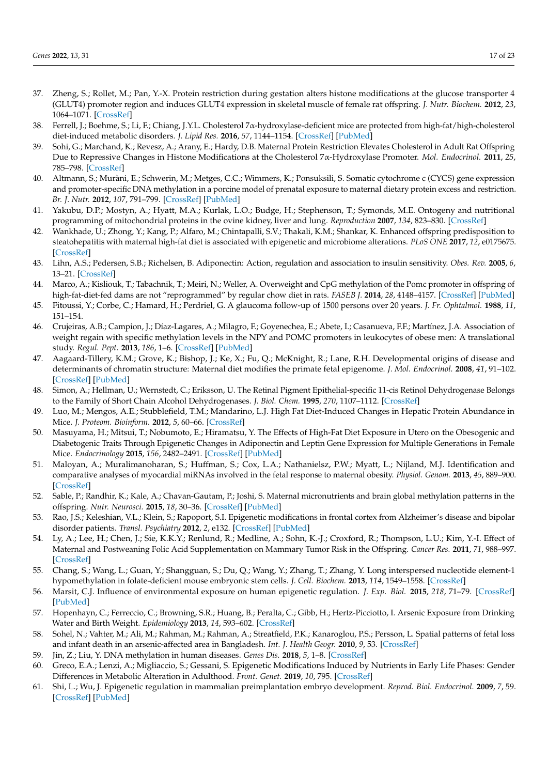- <span id="page-16-0"></span>37. Zheng, S.; Rollet, M.; Pan, Y.-X. Protein restriction during gestation alters histone modifications at the glucose transporter 4 (GLUT4) promoter region and induces GLUT4 expression in skeletal muscle of female rat offspring. *J. Nutr. Biochem.* **2012**, *23*, 1064–1071. [\[CrossRef\]](http://doi.org/10.1016/j.jnutbio.2011.05.013)
- <span id="page-16-23"></span>38. Ferrell, J.; Boehme, S.; Li, F.; Chiang, J.Y.L. Cholesterol 7α-hydroxylase-deficient mice are protected from high-fat/high-cholesterol diet-induced metabolic disorders. *J. Lipid Res.* **2016**, *57*, 1144–1154. [\[CrossRef\]](http://doi.org/10.1194/jlr.M064709) [\[PubMed\]](http://www.ncbi.nlm.nih.gov/pubmed/27146480)
- <span id="page-16-1"></span>39. Sohi, G.; Marchand, K.; Revesz, A.; Arany, E.; Hardy, D.B. Maternal Protein Restriction Elevates Cholesterol in Adult Rat Offspring Due to Repressive Changes in Histone Modifications at the Cholesterol 7α-Hydroxylase Promoter. *Mol. Endocrinol.* **2011**, *25*, 785–798. [\[CrossRef\]](http://doi.org/10.1210/me.2010-0395)
- <span id="page-16-2"></span>40. Altmann, S.; Muràni, E.; Schwerin, M.; Metges, C.C.; Wimmers, K.; Ponsuksili, S. Somatic cytochrome c (CYCS) gene expression and promoter-specific DNA methylation in a porcine model of prenatal exposure to maternal dietary protein excess and restriction. *Br. J. Nutr.* **2012**, *107*, 791–799. [\[CrossRef\]](http://doi.org/10.1017/S0007114511003667) [\[PubMed\]](http://www.ncbi.nlm.nih.gov/pubmed/21880174)
- <span id="page-16-3"></span>41. Yakubu, D.P.; Mostyn, A.; Hyatt, M.A.; Kurlak, L.O.; Budge, H.; Stephenson, T.; Symonds, M.E. Ontogeny and nutritional programming of mitochondrial proteins in the ovine kidney, liver and lung. *Reproduction* **2007**, *134*, 823–830. [\[CrossRef\]](http://doi.org/10.1530/REP-07-0155)
- <span id="page-16-4"></span>42. Wankhade, U.; Zhong, Y.; Kang, P.; Alfaro, M.; Chintapalli, S.V.; Thakali, K.M.; Shankar, K. Enhanced offspring predisposition to steatohepatitis with maternal high-fat diet is associated with epigenetic and microbiome alterations. *PLoS ONE* **2017**, *12*, e0175675. [\[CrossRef\]](http://doi.org/10.1371/journal.pone.0175675)
- <span id="page-16-5"></span>43. Lihn, A.S.; Pedersen, S.B.; Richelsen, B. Adiponectin: Action, regulation and association to insulin sensitivity. *Obes. Rev.* **2005**, *6*, 13–21. [\[CrossRef\]](http://doi.org/10.1111/j.1467-789X.2005.00159.x)
- <span id="page-16-6"></span>44. Marco, A.; Kisliouk, T.; Tabachnik, T.; Meiri, N.; Weller, A. Overweight and CpG methylation of the Pomc promoter in offspring of high-fat-diet-fed dams are not "reprogrammed" by regular chow diet in rats. *FASEB J.* **2014**, *28*, 4148–4157. [\[CrossRef\]](http://doi.org/10.1096/fj.14-255620) [\[PubMed\]](http://www.ncbi.nlm.nih.gov/pubmed/24928196)
- <span id="page-16-7"></span>45. Fitoussi, Y.; Corbe, C.; Hamard, H.; Perdriel, G. A glaucoma follow-up of 1500 persons over 20 years. *J. Fr. Ophtalmol.* **1988**, *11*, 151–154.
- <span id="page-16-8"></span>46. Crujeiras, A.B.; Campion, J.; Díaz-Lagares, A.; Milagro, F.; Goyenechea, E.; Abete, I.; Casanueva, F.F.; Martínez, J.A. Association of weight regain with specific methylation levels in the NPY and POMC promoters in leukocytes of obese men: A translational study. *Regul. Pept.* **2013**, *186*, 1–6. [\[CrossRef\]](http://doi.org/10.1016/j.regpep.2013.06.012) [\[PubMed\]](http://www.ncbi.nlm.nih.gov/pubmed/23831408)
- <span id="page-16-9"></span>47. Aagaard-Tillery, K.M.; Grove, K.; Bishop, J.; Ke, X.; Fu, Q.; McKnight, R.; Lane, R.H. Developmental origins of disease and determinants of chromatin structure: Maternal diet modifies the primate fetal epigenome. *J. Mol. Endocrinol.* **2008**, *41*, 91–102. [\[CrossRef\]](http://doi.org/10.1677/JME-08-0025) [\[PubMed\]](http://www.ncbi.nlm.nih.gov/pubmed/18515302)
- <span id="page-16-24"></span>48. Simon, A.; Hellman, U.; Wernstedt, C.; Eriksson, U. The Retinal Pigment Epithelial-specific 11-cis Retinol Dehydrogenase Belongs to the Family of Short Chain Alcohol Dehydrogenases. *J. Biol. Chem.* **1995**, *270*, 1107–1112. [\[CrossRef\]](http://doi.org/10.1074/jbc.270.3.1107)
- <span id="page-16-11"></span>49. Luo, M.; Mengos, A.E.; Stubblefield, T.M.; Mandarino, L.J. High Fat Diet-Induced Changes in Hepatic Protein Abundance in Mice. *J. Proteom. Bioinform.* **2012**, *5*, 60–66. [\[CrossRef\]](http://doi.org/10.4172/jpb.1000214)
- <span id="page-16-10"></span>50. Masuyama, H.; Mitsui, T.; Nobumoto, E.; Hiramatsu, Y. The Effects of High-Fat Diet Exposure in Utero on the Obesogenic and Diabetogenic Traits Through Epigenetic Changes in Adiponectin and Leptin Gene Expression for Multiple Generations in Female Mice. *Endocrinology* **2015**, *156*, 2482–2491. [\[CrossRef\]](http://doi.org/10.1210/en.2014-2020) [\[PubMed\]](http://www.ncbi.nlm.nih.gov/pubmed/25853666)
- <span id="page-16-12"></span>51. Maloyan, A.; Muralimanoharan, S.; Huffman, S.; Cox, L.A.; Nathanielsz, P.W.; Myatt, L.; Nijland, M.J. Identification and comparative analyses of myocardial miRNAs involved in the fetal response to maternal obesity. *Physiol. Genom.* **2013**, *45*, 889–900. [\[CrossRef\]](http://doi.org/10.1152/physiolgenomics.00050.2013)
- <span id="page-16-13"></span>52. Sable, P.; Randhir, K.; Kale, A.; Chavan-Gautam, P.; Joshi, S. Maternal micronutrients and brain global methylation patterns in the offspring. *Nutr. Neurosci.* **2015**, *18*, 30–36. [\[CrossRef\]](http://doi.org/10.1179/1476830513Y.0000000097) [\[PubMed\]](http://www.ncbi.nlm.nih.gov/pubmed/24257323)
- <span id="page-16-14"></span>53. Rao, J.S.; Keleshian, V.L.; Klein, S.; Rapoport, S.I. Epigenetic modifications in frontal cortex from Alzheimer's disease and bipolar disorder patients. *Transl. Psychiatry* **2012**, *2*, e132. [\[CrossRef\]](http://doi.org/10.1038/tp.2012.55) [\[PubMed\]](http://www.ncbi.nlm.nih.gov/pubmed/22760556)
- <span id="page-16-15"></span>54. Ly, A.; Lee, H.; Chen, J.; Sie, K.K.Y.; Renlund, R.; Medline, A.; Sohn, K.-J.; Croxford, R.; Thompson, L.U.; Kim, Y.-I. Effect of Maternal and Postweaning Folic Acid Supplementation on Mammary Tumor Risk in the Offspring. *Cancer Res.* **2011**, *71*, 988–997. [\[CrossRef\]](http://doi.org/10.1158/0008-5472.CAN-10-2379)
- <span id="page-16-16"></span>55. Chang, S.; Wang, L.; Guan, Y.; Shangguan, S.; Du, Q.; Wang, Y.; Zhang, T.; Zhang, Y. Long interspersed nucleotide element-1 hypomethylation in folate-deficient mouse embryonic stem cells. *J. Cell. Biochem.* **2013**, *114*, 1549–1558. [\[CrossRef\]](http://doi.org/10.1002/jcb.24496)
- <span id="page-16-17"></span>56. Marsit, C.J. Influence of environmental exposure on human epigenetic regulation. *J. Exp. Biol.* **2015**, *218*, 71–79. [\[CrossRef\]](http://doi.org/10.1242/jeb.106971) [\[PubMed\]](http://www.ncbi.nlm.nih.gov/pubmed/25568453)
- <span id="page-16-18"></span>57. Hopenhayn, C.; Ferreccio, C.; Browning, S.R.; Huang, B.; Peralta, C.; Gibb, H.; Hertz-Picciotto, I. Arsenic Exposure from Drinking Water and Birth Weight. *Epidemiology* **2013**, *14*, 593–602. [\[CrossRef\]](http://doi.org/10.1097/01.ede.0000072104.65240.69)
- <span id="page-16-19"></span>58. Sohel, N.; Vahter, M.; Ali, M.; Rahman, M.; Rahman, A.; Streatfield, P.K.; Kanaroglou, P.S.; Persson, L. Spatial patterns of fetal loss and infant death in an arsenic-affected area in Bangladesh. *Int. J. Health Geogr.* **2010**, *9*, 53. [\[CrossRef\]](http://doi.org/10.1186/1476-072X-9-53)
- <span id="page-16-20"></span>59. Jin, Z.; Liu, Y. DNA methylation in human diseases. *Genes Dis.* **2018**, *5*, 1–8. [\[CrossRef\]](http://doi.org/10.1016/j.gendis.2018.01.002)
- <span id="page-16-21"></span>60. Greco, E.A.; Lenzi, A.; Migliaccio, S.; Gessani, S. Epigenetic Modifications Induced by Nutrients in Early Life Phases: Gender Differences in Metabolic Alteration in Adulthood. *Front. Genet.* **2019**, *10*, 795. [\[CrossRef\]](http://doi.org/10.3389/fgene.2019.00795)
- <span id="page-16-22"></span>61. Shi, L.; Wu, J. Epigenetic regulation in mammalian preimplantation embryo development. *Reprod. Biol. Endocrinol.* **2009**, *7*, 59. [\[CrossRef\]](http://doi.org/10.1186/1477-7827-7-59) [\[PubMed\]](http://www.ncbi.nlm.nih.gov/pubmed/19500360)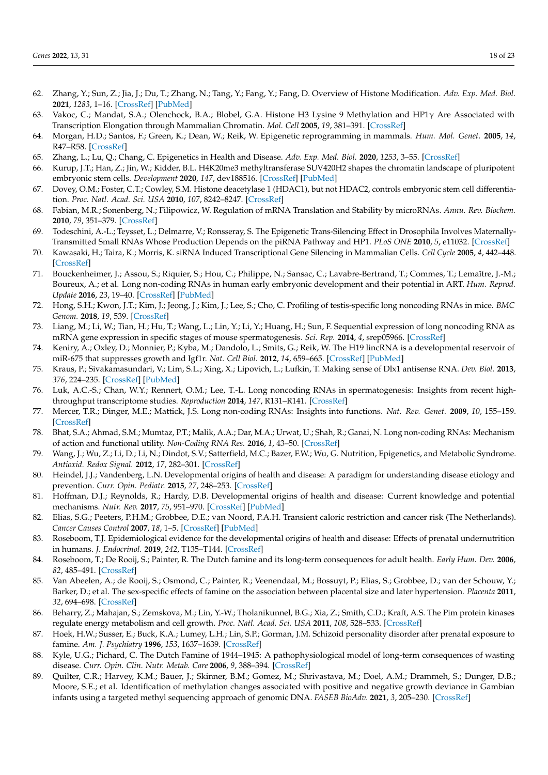- <span id="page-17-0"></span>62. Zhang, Y.; Sun, Z.; Jia, J.; Du, T.; Zhang, N.; Tang, Y.; Fang, Y.; Fang, D. Overview of Histone Modification. *Adv. Exp. Med. Biol.* **2021**, *1283*, 1–16. [\[CrossRef\]](http://doi.org/10.1007/978-981-15-8104-5_1) [\[PubMed\]](http://www.ncbi.nlm.nih.gov/pubmed/33155134)
- <span id="page-17-1"></span>63. Vakoc, C.; Mandat, S.A.; Olenchock, B.A.; Blobel, G.A. Histone H3 Lysine 9 Methylation and HP1γ Are Associated with Transcription Elongation through Mammalian Chromatin. *Mol. Cell* **2005**, *19*, 381–391. [\[CrossRef\]](http://doi.org/10.1016/j.molcel.2005.06.011)
- <span id="page-17-2"></span>64. Morgan, H.D.; Santos, F.; Green, K.; Dean, W.; Reik, W. Epigenetic reprogramming in mammals. *Hum. Mol. Genet.* **2005**, *14*, R47–R58. [\[CrossRef\]](http://doi.org/10.1093/hmg/ddi114)
- <span id="page-17-3"></span>65. Zhang, L.; Lu, Q.; Chang, C. Epigenetics in Health and Disease. *Adv. Exp. Med. Biol.* **2020**, *1253*, 3–55. [\[CrossRef\]](http://doi.org/10.1007/978-981-15-3449-2_1)
- <span id="page-17-4"></span>66. Kurup, J.T.; Han, Z.; Jin, W.; Kidder, B.L. H4K20me3 methyltransferase SUV420H2 shapes the chromatin landscape of pluripotent embryonic stem cells. *Development* **2020**, *147*, dev188516. [\[CrossRef\]](http://doi.org/10.1242/dev.188516) [\[PubMed\]](http://www.ncbi.nlm.nih.gov/pubmed/33144397)
- <span id="page-17-5"></span>67. Dovey, O.M.; Foster, C.T.; Cowley, S.M. Histone deacetylase 1 (HDAC1), but not HDAC2, controls embryonic stem cell differentiation. *Proc. Natl. Acad. Sci. USA* **2010**, *107*, 8242–8247. [\[CrossRef\]](http://doi.org/10.1073/pnas.1000478107)
- <span id="page-17-6"></span>68. Fabian, M.R.; Sonenberg, N.; Filipowicz, W. Regulation of mRNA Translation and Stability by microRNAs. *Annu. Rev. Biochem.* **2010**, *79*, 351–379. [\[CrossRef\]](http://doi.org/10.1146/annurev-biochem-060308-103103)
- <span id="page-17-7"></span>69. Todeschini, A.-L.; Teysset, L.; Delmarre, V.; Ronsseray, S. The Epigenetic Trans-Silencing Effect in Drosophila Involves Maternally-Transmitted Small RNAs Whose Production Depends on the piRNA Pathway and HP1. *PLoS ONE* **2010**, *5*, e11032. [\[CrossRef\]](http://doi.org/10.1371/journal.pone.0011032)
- <span id="page-17-8"></span>70. Kawasaki, H.; Taira, K.; Morris, K. siRNA Induced Transcriptional Gene Silencing in Mammalian Cells. *Cell Cycle* **2005**, *4*, 442–448. [\[CrossRef\]](http://doi.org/10.4161/cc.4.3.1520)
- <span id="page-17-9"></span>71. Bouckenheimer, J.; Assou, S.; Riquier, S.; Hou, C.; Philippe, N.; Sansac, C.; Lavabre-Bertrand, T.; Commes, T.; Lemaître, J.-M.; Boureux, A.; et al. Long non-coding RNAs in human early embryonic development and their potential in ART. *Hum. Reprod. Update* **2016**, *23*, 19–40. [\[CrossRef\]](http://doi.org/10.1093/humupd/dmw035) [\[PubMed\]](http://www.ncbi.nlm.nih.gov/pubmed/27655590)
- <span id="page-17-10"></span>72. Hong, S.H.; Kwon, J.T.; Kim, J.; Jeong, J.; Kim, J.; Lee, S.; Cho, C. Profiling of testis-specific long noncoding RNAs in mice. *BMC Genom.* **2018**, *19*, 539. [\[CrossRef\]](http://doi.org/10.1186/s12864-018-4931-3)
- <span id="page-17-11"></span>73. Liang, M.; Li, W.; Tian, H.; Hu, T.; Wang, L.; Lin, Y.; Li, Y.; Huang, H.; Sun, F. Sequential expression of long noncoding RNA as mRNA gene expression in specific stages of mouse spermatogenesis. *Sci. Rep.* **2014**, *4*, srep05966. [\[CrossRef\]](http://doi.org/10.1038/srep05966)
- <span id="page-17-12"></span>74. Keniry, A.; Oxley, D.; Monnier, P.; Kyba, M.; Dandolo, L.; Smits, G.; Reik, W. The H19 lincRNA is a developmental reservoir of miR-675 that suppresses growth and Igf1r. *Nat. Cell Biol.* **2012**, *14*, 659–665. [\[CrossRef\]](http://doi.org/10.1038/ncb2521) [\[PubMed\]](http://www.ncbi.nlm.nih.gov/pubmed/22684254)
- 75. Kraus, P.; Sivakamasundari, V.; Lim, S.L.; Xing, X.; Lipovich, L.; Lufkin, T. Making sense of Dlx1 antisense RNA. *Dev. Biol.* **2013**, *376*, 224–235. [\[CrossRef\]](http://doi.org/10.1016/j.ydbio.2013.01.035) [\[PubMed\]](http://www.ncbi.nlm.nih.gov/pubmed/23415800)
- <span id="page-17-13"></span>76. Luk, A.C.-S.; Chan, W.Y.; Rennert, O.M.; Lee, T.-L. Long noncoding RNAs in spermatogenesis: Insights from recent highthroughput transcriptome studies. *Reproduction* **2014**, *147*, R131–R141. [\[CrossRef\]](http://doi.org/10.1530/REP-13-0594)
- <span id="page-17-14"></span>77. Mercer, T.R.; Dinger, M.E.; Mattick, J.S. Long non-coding RNAs: Insights into functions. *Nat. Rev. Genet.* **2009**, *10*, 155–159. [\[CrossRef\]](http://doi.org/10.1038/nrg2521)
- 78. Bhat, S.A.; Ahmad, S.M.; Mumtaz, P.T.; Malik, A.A.; Dar, M.A.; Urwat, U.; Shah, R.; Ganai, N. Long non-coding RNAs: Mechanism of action and functional utility. *Non-Coding RNA Res.* **2016**, *1*, 43–50. [\[CrossRef\]](http://doi.org/10.1016/j.ncrna.2016.11.002)
- <span id="page-17-15"></span>79. Wang, J.; Wu, Z.; Li, D.; Li, N.; Dindot, S.V.; Satterfield, M.C.; Bazer, F.W.; Wu, G. Nutrition, Epigenetics, and Metabolic Syndrome. *Antioxid. Redox Signal.* **2012**, *17*, 282–301. [\[CrossRef\]](http://doi.org/10.1089/ars.2011.4381)
- <span id="page-17-16"></span>80. Heindel, J.J.; Vandenberg, L.N. Developmental origins of health and disease: A paradigm for understanding disease etiology and prevention. *Curr. Opin. Pediatr.* **2015**, *27*, 248–253. [\[CrossRef\]](http://doi.org/10.1097/MOP.0000000000000191)
- <span id="page-17-17"></span>81. Hoffman, D.J.; Reynolds, R.; Hardy, D.B. Developmental origins of health and disease: Current knowledge and potential mechanisms. *Nutr. Rev.* **2017**, *75*, 951–970. [\[CrossRef\]](http://doi.org/10.1093/nutrit/nux053) [\[PubMed\]](http://www.ncbi.nlm.nih.gov/pubmed/29186623)
- <span id="page-17-18"></span>82. Elias, S.G.; Peeters, P.H.M.; Grobbee, D.E.; van Noord, P.A.H. Transient caloric restriction and cancer risk (The Netherlands). *Cancer Causes Control* **2007**, *18*, 1–5. [\[CrossRef\]](http://doi.org/10.1007/s10552-006-0080-0) [\[PubMed\]](http://www.ncbi.nlm.nih.gov/pubmed/17186418)
- <span id="page-17-19"></span>83. Roseboom, T.J. Epidemiological evidence for the developmental origins of health and disease: Effects of prenatal undernutrition in humans. *J. Endocrinol.* **2019**, *242*, T135–T144. [\[CrossRef\]](http://doi.org/10.1530/JOE-18-0683)
- <span id="page-17-20"></span>84. Roseboom, T.; De Rooij, S.; Painter, R. The Dutch famine and its long-term consequences for adult health. *Early Hum. Dev.* **2006**, *82*, 485–491. [\[CrossRef\]](http://doi.org/10.1016/j.earlhumdev.2006.07.001)
- <span id="page-17-21"></span>85. Van Abeelen, A.; de Rooij, S.; Osmond, C.; Painter, R.; Veenendaal, M.; Bossuyt, P.; Elias, S.; Grobbee, D.; van der Schouw, Y.; Barker, D.; et al. The sex-specific effects of famine on the association between placental size and later hypertension. *Placenta* **2011**, *32*, 694–698. [\[CrossRef\]](http://doi.org/10.1016/j.placenta.2011.06.012)
- <span id="page-17-22"></span>86. Beharry, Z.; Mahajan, S.; Zemskova, M.; Lin, Y.-W.; Tholanikunnel, B.G.; Xia, Z.; Smith, C.D.; Kraft, A.S. The Pim protein kinases regulate energy metabolism and cell growth. *Proc. Natl. Acad. Sci. USA* **2011**, *108*, 528–533. [\[CrossRef\]](http://doi.org/10.1073/pnas.1013214108)
- <span id="page-17-23"></span>87. Hoek, H.W.; Susser, E.; Buck, K.A.; Lumey, L.H.; Lin, S.P.; Gorman, J.M. Schizoid personality disorder after prenatal exposure to famine. *Am. J. Psychiatry* **1996**, *153*, 1637–1639. [\[CrossRef\]](http://doi.org/10.1176/ajp.153.12.1637)
- <span id="page-17-24"></span>88. Kyle, U.G.; Pichard, C. The Dutch Famine of 1944–1945: A pathophysiological model of long-term consequences of wasting disease. *Curr. Opin. Clin. Nutr. Metab. Care* **2006**, *9*, 388–394. [\[CrossRef\]](http://doi.org/10.1097/01.mco.0000232898.74415.42)
- <span id="page-17-25"></span>89. Quilter, C.R.; Harvey, K.M.; Bauer, J.; Skinner, B.M.; Gomez, M.; Shrivastava, M.; Doel, A.M.; Drammeh, S.; Dunger, D.B.; Moore, S.E.; et al. Identification of methylation changes associated with positive and negative growth deviance in Gambian infants using a targeted methyl sequencing approach of genomic DNA. *FASEB BioAdv.* **2021**, *3*, 205–230. [\[CrossRef\]](http://doi.org/10.1096/fba.2020-00101)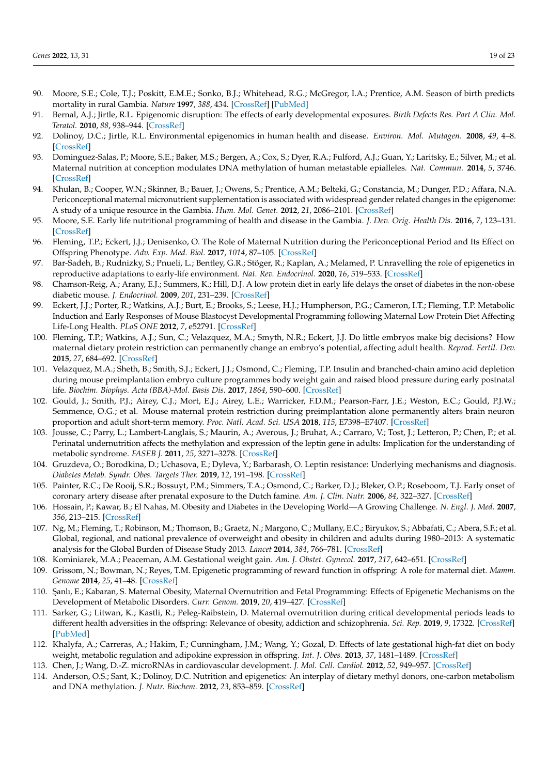- <span id="page-18-0"></span>90. Moore, S.E.; Cole, T.J.; Poskitt, E.M.E.; Sonko, B.J.; Whitehead, R.G.; McGregor, I.A.; Prentice, A.M. Season of birth predicts mortality in rural Gambia. *Nature* **1997**, *388*, 434. [\[CrossRef\]](http://doi.org/10.1038/41245) [\[PubMed\]](http://www.ncbi.nlm.nih.gov/pubmed/9242401)
- <span id="page-18-1"></span>91. Bernal, A.J.; Jirtle, R.L. Epigenomic disruption: The effects of early developmental exposures. *Birth Defects Res. Part A Clin. Mol. Teratol.* **2010**, *88*, 938–944. [\[CrossRef\]](http://doi.org/10.1002/bdra.20685)
- <span id="page-18-2"></span>92. Dolinoy, D.C.; Jirtle, R.L. Environmental epigenomics in human health and disease. *Environ. Mol. Mutagen.* **2008**, *49*, 4–8. [\[CrossRef\]](http://doi.org/10.1002/em.20366)
- <span id="page-18-3"></span>93. Dominguez-Salas, P.; Moore, S.E.; Baker, M.S.; Bergen, A.; Cox, S.; Dyer, R.A.; Fulford, A.J.; Guan, Y.; Laritsky, E.; Silver, M.; et al. Maternal nutrition at conception modulates DNA methylation of human metastable epialleles. *Nat. Commun.* **2014**, *5*, 3746. [\[CrossRef\]](http://doi.org/10.1038/ncomms4746)
- <span id="page-18-4"></span>94. Khulan, B.; Cooper, W.N.; Skinner, B.; Bauer, J.; Owens, S.; Prentice, A.M.; Belteki, G.; Constancia, M.; Dunger, P.D.; Affara, N.A. Periconceptional maternal micronutrient supplementation is associated with widespread gender related changes in the epigenome: A study of a unique resource in the Gambia. *Hum. Mol. Genet.* **2012**, *21*, 2086–2101. [\[CrossRef\]](http://doi.org/10.1093/hmg/dds026)
- <span id="page-18-5"></span>95. Moore, S.E. Early life nutritional programming of health and disease in the Gambia. *J. Dev. Orig. Health Dis.* **2016**, *7*, 123–131. [\[CrossRef\]](http://doi.org/10.1017/S2040174415007199)
- <span id="page-18-6"></span>96. Fleming, T.P.; Eckert, J.J.; Denisenko, O. The Role of Maternal Nutrition during the Periconceptional Period and Its Effect on Offspring Phenotype. *Adv. Exp. Med. Biol.* **2017**, *1014*, 87–105. [\[CrossRef\]](http://doi.org/10.1007/978-3-319-62414-3_5)
- <span id="page-18-7"></span>97. Bar-Sadeh, B.; Rudnizky, S.; Pnueli, L.; Bentley, G.R.; Stöger, R.; Kaplan, A.; Melamed, P. Unravelling the role of epigenetics in reproductive adaptations to early-life environment. *Nat. Rev. Endocrinol.* **2020**, *16*, 519–533. [\[CrossRef\]](http://doi.org/10.1038/s41574-020-0370-8)
- <span id="page-18-8"></span>98. Chamson-Reig, A.; Arany, E.J.; Summers, K.; Hill, D.J. A low protein diet in early life delays the onset of diabetes in the non-obese diabetic mouse. *J. Endocrinol.* **2009**, *201*, 231–239. [\[CrossRef\]](http://doi.org/10.1677/JOE-09-0002)
- 99. Eckert, J.J.; Porter, R.; Watkins, A.J.; Burt, E.; Brooks, S.; Leese, H.J.; Humpherson, P.G.; Cameron, I.T.; Fleming, T.P. Metabolic Induction and Early Responses of Mouse Blastocyst Developmental Programming following Maternal Low Protein Diet Affecting Life-Long Health. *PLoS ONE* **2012**, *7*, e52791. [\[CrossRef\]](http://doi.org/10.1371/journal.pone.0052791)
- 100. Fleming, T.P.; Watkins, A.J.; Sun, C.; Velazquez, M.A.; Smyth, N.R.; Eckert, J.J. Do little embryos make big decisions? How maternal dietary protein restriction can permanently change an embryo's potential, affecting adult health. *Reprod. Fertil. Dev.* **2015**, *27*, 684–692. [\[CrossRef\]](http://doi.org/10.1071/RD14455)
- 101. Velazquez, M.A.; Sheth, B.; Smith, S.J.; Eckert, J.J.; Osmond, C.; Fleming, T.P. Insulin and branched-chain amino acid depletion during mouse preimplantation embryo culture programmes body weight gain and raised blood pressure during early postnatal life. *Biochim. Biophys. Acta (BBA)-Mol. Basis Dis.* **2017**, *1864*, 590–600. [\[CrossRef\]](http://doi.org/10.1016/j.bbadis.2017.11.020)
- <span id="page-18-9"></span>102. Gould, J.; Smith, P.J.; Airey, C.J.; Mort, E.J.; Airey, L.E.; Warricker, F.D.M.; Pearson-Farr, J.E.; Weston, E.C.; Gould, P.J.W.; Semmence, O.G.; et al. Mouse maternal protein restriction during preimplantation alone permanently alters brain neuron proportion and adult short-term memory. *Proc. Natl. Acad. Sci. USA* **2018**, *115*, E7398–E7407. [\[CrossRef\]](http://doi.org/10.1073/pnas.1721876115)
- <span id="page-18-10"></span>103. Jousse, C.; Parry, L.; Lambert-Langlais, S.; Maurin, A.; Averous, J.; Bruhat, A.; Carraro, V.; Tost, J.; Letteron, P.; Chen, P.; et al. Perinatal undernutrition affects the methylation and expression of the leptin gene in adults: Implication for the understanding of metabolic syndrome. *FASEB J.* **2011**, *25*, 3271–3278. [\[CrossRef\]](http://doi.org/10.1096/fj.11-181792)
- <span id="page-18-11"></span>104. Gruzdeva, O.; Borodkina, D.; Uchasova, E.; Dyleva, Y.; Barbarash, O. Leptin resistance: Underlying mechanisms and diagnosis. *Diabetes Metab. Syndr. Obes. Targets Ther.* **2019**, *12*, 191–198. [\[CrossRef\]](http://doi.org/10.2147/DMSO.S182406)
- <span id="page-18-12"></span>105. Painter, R.C.; De Rooij, S.R.; Bossuyt, P.M.; Simmers, T.A.; Osmond, C.; Barker, D.J.; Bleker, O.P.; Roseboom, T.J. Early onset of coronary artery disease after prenatal exposure to the Dutch famine. *Am. J. Clin. Nutr.* **2006**, *84*, 322–327. [\[CrossRef\]](http://doi.org/10.1093/ajcn/84.2.322)
- <span id="page-18-13"></span>106. Hossain, P.; Kawar, B.; El Nahas, M. Obesity and Diabetes in the Developing World—A Growing Challenge. *N. Engl. J. Med.* **2007**, *356*, 213–215. [\[CrossRef\]](http://doi.org/10.1056/NEJMp068177)
- <span id="page-18-14"></span>107. Ng, M.; Fleming, T.; Robinson, M.; Thomson, B.; Graetz, N.; Margono, C.; Mullany, E.C.; Biryukov, S.; Abbafati, C.; Abera, S.F.; et al. Global, regional, and national prevalence of overweight and obesity in children and adults during 1980–2013: A systematic analysis for the Global Burden of Disease Study 2013. *Lancet* **2014**, *384*, 766–781. [\[CrossRef\]](http://doi.org/10.1016/S0140-6736(14)60460-8)
- <span id="page-18-15"></span>108. Kominiarek, M.A.; Peaceman, A.M. Gestational weight gain. *Am. J. Obstet. Gynecol.* **2017**, *217*, 642–651. [\[CrossRef\]](http://doi.org/10.1016/j.ajog.2017.05.040)
- <span id="page-18-16"></span>109. Grissom, N.; Bowman, N.; Reyes, T.M. Epigenetic programming of reward function in offspring: A role for maternal diet. *Mamm. Genome* **2014**, *25*, 41–48. [\[CrossRef\]](http://doi.org/10.1007/s00335-013-9487-6)
- <span id="page-18-17"></span>110. Şanlı, E.; Kabaran, S. Maternal Obesity, Maternal Overnutrition and Fetal Programming: Effects of Epigenetic Mechanisms on the Development of Metabolic Disorders. *Curr. Genom.* **2019**, *20*, 419–427. [\[CrossRef\]](http://doi.org/10.2174/1389202920666191030092225)
- <span id="page-18-18"></span>111. Sarker, G.; Litwan, K.; Kastli, R.; Peleg-Raibstein, D. Maternal overnutrition during critical developmental periods leads to different health adversities in the offspring: Relevance of obesity, addiction and schizophrenia. *Sci. Rep.* **2019**, *9*, 17322. [\[CrossRef\]](http://doi.org/10.1038/s41598-019-53652-x) [\[PubMed\]](http://www.ncbi.nlm.nih.gov/pubmed/31754139)
- <span id="page-18-19"></span>112. Khalyfa, A.; Carreras, A.; Hakim, F.; Cunningham, J.M.; Wang, Y.; Gozal, D. Effects of late gestational high-fat diet on body weight, metabolic regulation and adipokine expression in offspring. *Int. J. Obes.* **2013**, *37*, 1481–1489. [\[CrossRef\]](http://doi.org/10.1038/ijo.2013.12)
- <span id="page-18-20"></span>113. Chen, J.; Wang, D.-Z. microRNAs in cardiovascular development. *J. Mol. Cell. Cardiol.* **2012**, *52*, 949–957. [\[CrossRef\]](http://doi.org/10.1016/j.yjmcc.2012.01.012)
- <span id="page-18-21"></span>114. Anderson, O.S.; Sant, K.; Dolinoy, D.C. Nutrition and epigenetics: An interplay of dietary methyl donors, one-carbon metabolism and DNA methylation. *J. Nutr. Biochem.* **2012**, *23*, 853–859. [\[CrossRef\]](http://doi.org/10.1016/j.jnutbio.2012.03.003)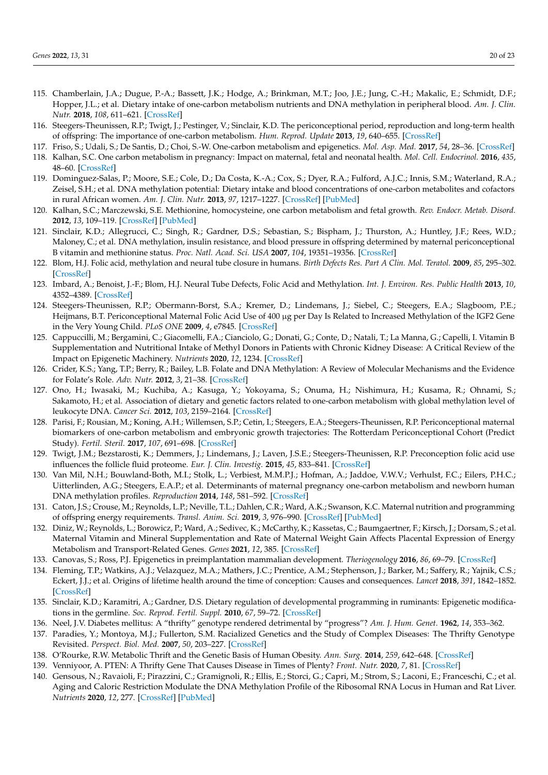- <span id="page-19-9"></span>115. Chamberlain, J.A.; Dugue, P.-A.; Bassett, J.K.; Hodge, A.; Brinkman, M.T.; Joo, J.E.; Jung, C.-H.; Makalic, E.; Schmidt, D.F.; Hopper, J.L.; et al. Dietary intake of one-carbon metabolism nutrients and DNA methylation in peripheral blood. *Am. J. Clin. Nutr.* **2018**, *108*, 611–621. [\[CrossRef\]](http://doi.org/10.1093/ajcn/nqy119)
- <span id="page-19-0"></span>116. Steegers-Theunissen, R.P.; Twigt, J.; Pestinger, V.; Sinclair, K.D. The periconceptional period, reproduction and long-term health of offspring: The importance of one-carbon metabolism. *Hum. Reprod. Update* **2013**, *19*, 640–655. [\[CrossRef\]](http://doi.org/10.1093/humupd/dmt041)
- <span id="page-19-1"></span>117. Friso, S.; Udali, S.; De Santis, D.; Choi, S.-W. One-carbon metabolism and epigenetics. *Mol. Asp. Med.* **2017**, *54*, 28–36. [\[CrossRef\]](http://doi.org/10.1016/j.mam.2016.11.007)
- <span id="page-19-2"></span>118. Kalhan, S.C. One carbon metabolism in pregnancy: Impact on maternal, fetal and neonatal health. *Mol. Cell. Endocrinol.* **2016**, *435*, 48–60. [\[CrossRef\]](http://doi.org/10.1016/j.mce.2016.06.006)
- <span id="page-19-3"></span>119. Dominguez-Salas, P.; Moore, S.E.; Cole, D.; Da Costa, K.-A.; Cox, S.; Dyer, R.A.; Fulford, A.J.C.; Innis, S.M.; Waterland, R.A.; Zeisel, S.H.; et al. DNA methylation potential: Dietary intake and blood concentrations of one-carbon metabolites and cofactors in rural African women. *Am. J. Clin. Nutr.* **2013**, *97*, 1217–1227. [\[CrossRef\]](http://doi.org/10.3945/ajcn.112.048462) [\[PubMed\]](http://www.ncbi.nlm.nih.gov/pubmed/23576045)
- <span id="page-19-4"></span>120. Kalhan, S.C.; Marczewski, S.E. Methionine, homocysteine, one carbon metabolism and fetal growth. *Rev. Endocr. Metab. Disord.* **2012**, *13*, 109–119. [\[CrossRef\]](http://doi.org/10.1007/s11154-012-9215-7) [\[PubMed\]](http://www.ncbi.nlm.nih.gov/pubmed/22418620)
- <span id="page-19-5"></span>121. Sinclair, K.D.; Allegrucci, C.; Singh, R.; Gardner, D.S.; Sebastian, S.; Bispham, J.; Thurston, A.; Huntley, J.F.; Rees, W.D.; Maloney, C.; et al. DNA methylation, insulin resistance, and blood pressure in offspring determined by maternal periconceptional B vitamin and methionine status. *Proc. Natl. Acad. Sci. USA* **2007**, *104*, 19351–19356. [\[CrossRef\]](http://doi.org/10.1073/pnas.0707258104)
- <span id="page-19-6"></span>122. Blom, H.J. Folic acid, methylation and neural tube closure in humans. *Birth Defects Res. Part A Clin. Mol. Teratol.* **2009**, *85*, 295–302. [\[CrossRef\]](http://doi.org/10.1002/bdra.20581)
- <span id="page-19-7"></span>123. Imbard, A.; Benoist, J.-F.; Blom, H.J. Neural Tube Defects, Folic Acid and Methylation. *Int. J. Environ. Res. Public Health* **2013**, *10*, 4352–4389. [\[CrossRef\]](http://doi.org/10.3390/ijerph10094352)
- <span id="page-19-8"></span>124. Steegers-Theunissen, R.P.; Obermann-Borst, S.A.; Kremer, D.; Lindemans, J.; Siebel, C.; Steegers, E.A.; Slagboom, P.E.; Heijmans, B.T. Periconceptional Maternal Folic Acid Use of 400 µg per Day Is Related to Increased Methylation of the IGF2 Gene in the Very Young Child. *PLoS ONE* **2009**, *4*, e7845. [\[CrossRef\]](http://doi.org/10.1371/journal.pone.0007845)
- <span id="page-19-10"></span>125. Cappuccilli, M.; Bergamini, C.; Giacomelli, F.A.; Cianciolo, G.; Donati, G.; Conte, D.; Natali, T.; La Manna, G.; Capelli, I. Vitamin B Supplementation and Nutritional Intake of Methyl Donors in Patients with Chronic Kidney Disease: A Critical Review of the Impact on Epigenetic Machinery. *Nutrients* **2020**, *12*, 1234. [\[CrossRef\]](http://doi.org/10.3390/nu12051234)
- 126. Crider, K.S.; Yang, T.P.; Berry, R.; Bailey, L.B. Folate and DNA Methylation: A Review of Molecular Mechanisms and the Evidence for Folate's Role. *Adv. Nutr.* **2012**, *3*, 21–38. [\[CrossRef\]](http://doi.org/10.3945/an.111.000992)
- 127. Ono, H.; Iwasaki, M.; Kuchiba, A.; Kasuga, Y.; Yokoyama, S.; Onuma, H.; Nishimura, H.; Kusama, R.; Ohnami, S.; Sakamoto, H.; et al. Association of dietary and genetic factors related to one-carbon metabolism with global methylation level of leukocyte DNA. *Cancer Sci.* **2012**, *103*, 2159–2164. [\[CrossRef\]](http://doi.org/10.1111/cas.12013)
- 128. Parisi, F.; Rousian, M.; Koning, A.H.; Willemsen, S.P.; Cetin, I.; Steegers, E.A.; Steegers-Theunissen, R.P. Periconceptional maternal biomarkers of one-carbon metabolism and embryonic growth trajectories: The Rotterdam Periconceptional Cohort (Predict Study). *Fertil. Steril.* **2017**, *107*, 691–698. [\[CrossRef\]](http://doi.org/10.1016/j.fertnstert.2016.11.030)
- 129. Twigt, J.M.; Bezstarosti, K.; Demmers, J.; Lindemans, J.; Laven, J.S.E.; Steegers-Theunissen, R.P. Preconception folic acid use influences the follicle fluid proteome. *Eur. J. Clin. Investig.* **2015**, *45*, 833–841. [\[CrossRef\]](http://doi.org/10.1111/eci.12478)
- <span id="page-19-11"></span>130. Van Mil, N.H.; Bouwland-Both, M.I.; Stolk, L.; Verbiest, M.M.P.J.; Hofman, A.; Jaddoe, V.W.V.; Verhulst, F.C.; Eilers, P.H.C.; Uitterlinden, A.G.; Steegers, E.A.P.; et al. Determinants of maternal pregnancy one-carbon metabolism and newborn human DNA methylation profiles. *Reproduction* **2014**, *148*, 581–592. [\[CrossRef\]](http://doi.org/10.1530/REP-14-0260)
- <span id="page-19-12"></span>131. Caton, J.S.; Crouse, M.; Reynolds, L.P.; Neville, T.L.; Dahlen, C.R.; Ward, A.K.; Swanson, K.C. Maternal nutrition and programming of offspring energy requirements. *Transl. Anim. Sci.* **2019**, *3*, 976–990. [\[CrossRef\]](http://doi.org/10.1093/tas/txy127) [\[PubMed\]](http://www.ncbi.nlm.nih.gov/pubmed/32704862)
- <span id="page-19-13"></span>132. Diniz, W.; Reynolds, L.; Borowicz, P.; Ward, A.; Sedivec, K.; McCarthy, K.; Kassetas, C.; Baumgaertner, F.; Kirsch, J.; Dorsam, S.; et al. Maternal Vitamin and Mineral Supplementation and Rate of Maternal Weight Gain Affects Placental Expression of Energy Metabolism and Transport-Related Genes. *Genes* **2021**, *12*, 385. [\[CrossRef\]](http://doi.org/10.3390/genes12030385)
- <span id="page-19-14"></span>133. Canovas, S.; Ross, P.J. Epigenetics in preimplantation mammalian development. *Theriogenology* **2016**, *86*, 69–79. [\[CrossRef\]](http://doi.org/10.1016/j.theriogenology.2016.04.020)
- <span id="page-19-15"></span>134. Fleming, T.P.; Watkins, A.J.; Velazquez, M.A.; Mathers, J.C.; Prentice, A.M.; Stephenson, J.; Barker, M.; Saffery, R.; Yajnik, C.S.; Eckert, J.J.; et al. Origins of lifetime health around the time of conception: Causes and consequences. *Lancet* **2018**, *391*, 1842–1852. [\[CrossRef\]](http://doi.org/10.1016/S0140-6736(18)30312-X)
- <span id="page-19-16"></span>135. Sinclair, K.D.; Karamitri, A.; Gardner, D.S. Dietary regulation of developmental programming in ruminants: Epigenetic modifications in the germline. *Soc. Reprod. Fertil. Suppl.* **2010**, *67*, 59–72. [\[CrossRef\]](http://doi.org/10.5661/RDR-VII-59)
- <span id="page-19-17"></span>136. Neel, J.V. Diabetes mellitus: A "thrifty" genotype rendered detrimental by "progress"? *Am. J. Hum. Genet.* **1962**, *14*, 353–362.
- 137. Paradies, Y.; Montoya, M.J.; Fullerton, S.M. Racialized Genetics and the Study of Complex Diseases: The Thrifty Genotype Revisited. *Perspect. Biol. Med.* **2007**, *50*, 203–227. [\[CrossRef\]](http://doi.org/10.1353/pbm.2007.0020)
- <span id="page-19-18"></span>138. O'Rourke, R.W. Metabolic Thrift and the Genetic Basis of Human Obesity. *Ann. Surg.* **2014**, *259*, 642–648. [\[CrossRef\]](http://doi.org/10.1097/SLA.0000000000000361)
- <span id="page-19-19"></span>139. Venniyoor, A. PTEN: A Thrifty Gene That Causes Disease in Times of Plenty? *Front. Nutr.* **2020**, *7*, 81. [\[CrossRef\]](http://doi.org/10.3389/fnut.2020.00081)
- <span id="page-19-20"></span>140. Gensous, N.; Ravaioli, F.; Pirazzini, C.; Gramignoli, R.; Ellis, E.; Storci, G.; Capri, M.; Strom, S.; Laconi, E.; Franceschi, C.; et al. Aging and Caloric Restriction Modulate the DNA Methylation Profile of the Ribosomal RNA Locus in Human and Rat Liver. *Nutrients* **2020**, *12*, 277. [\[CrossRef\]](http://doi.org/10.3390/nu12020277) [\[PubMed\]](http://www.ncbi.nlm.nih.gov/pubmed/31973116)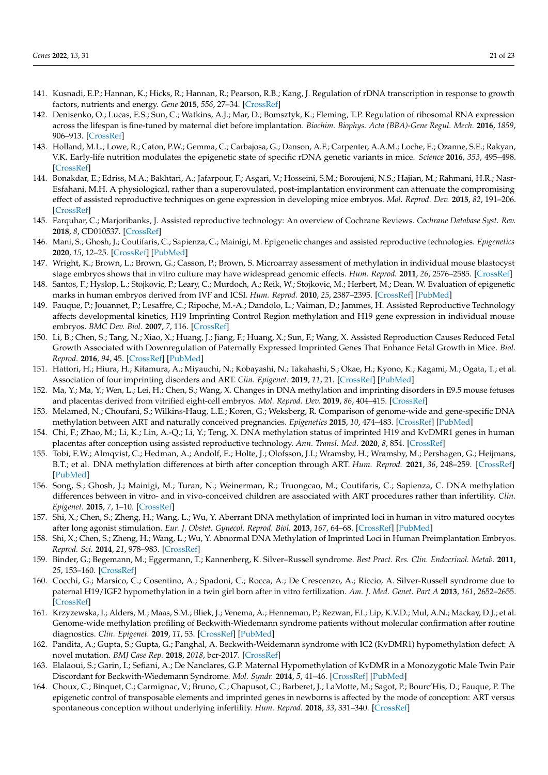- <span id="page-20-0"></span>141. Kusnadi, E.P.; Hannan, K.; Hicks, R.; Hannan, R.; Pearson, R.B.; Kang, J. Regulation of rDNA transcription in response to growth factors, nutrients and energy. *Gene* **2015**, *556*, 27–34. [\[CrossRef\]](http://doi.org/10.1016/j.gene.2014.11.010)
- <span id="page-20-1"></span>142. Denisenko, O.; Lucas, E.S.; Sun, C.; Watkins, A.J.; Mar, D.; Bomsztyk, K.; Fleming, T.P. Regulation of ribosomal RNA expression across the lifespan is fine-tuned by maternal diet before implantation. *Biochim. Biophys. Acta (BBA)-Gene Regul. Mech.* **2016**, *1859*, 906–913. [\[CrossRef\]](http://doi.org/10.1016/j.bbagrm.2016.04.001)
- <span id="page-20-2"></span>143. Holland, M.L.; Lowe, R.; Caton, P.W.; Gemma, C.; Carbajosa, G.; Danson, A.F.; Carpenter, A.A.M.; Loche, E.; Ozanne, S.E.; Rakyan, V.K. Early-life nutrition modulates the epigenetic state of specific rDNA genetic variants in mice. *Science* **2016**, *353*, 495–498. [\[CrossRef\]](http://doi.org/10.1126/science.aaf7040)
- <span id="page-20-3"></span>144. Bonakdar, E.; Edriss, M.A.; Bakhtari, A.; Jafarpour, F.; Asgari, V.; Hosseini, S.M.; Boroujeni, N.S.; Hajian, M.; Rahmani, H.R.; Nasr-Esfahani, M.H. A physiological, rather than a superovulated, post-implantation environment can attenuate the compromising effect of assisted reproductive techniques on gene expression in developing mice embryos. *Mol. Reprod. Dev.* **2015**, *82*, 191–206. [\[CrossRef\]](http://doi.org/10.1002/mrd.22461)
- <span id="page-20-4"></span>145. Farquhar, C.; Marjoribanks, J. Assisted reproductive technology: An overview of Cochrane Reviews. *Cochrane Database Syst. Rev.* **2018**, *8*, CD010537. [\[CrossRef\]](http://doi.org/10.1002/14651858.CD010537.pub5)
- <span id="page-20-5"></span>146. Mani, S.; Ghosh, J.; Coutifaris, C.; Sapienza, C.; Mainigi, M. Epigenetic changes and assisted reproductive technologies. *Epigenetics* **2020**, *15*, 12–25. [\[CrossRef\]](http://doi.org/10.1080/15592294.2019.1646572) [\[PubMed\]](http://www.ncbi.nlm.nih.gov/pubmed/31328632)
- <span id="page-20-6"></span>147. Wright, K.; Brown, L.; Brown, G.; Casson, P.; Brown, S. Microarray assessment of methylation in individual mouse blastocyst stage embryos shows that in vitro culture may have widespread genomic effects. *Hum. Reprod.* **2011**, *26*, 2576–2585. [\[CrossRef\]](http://doi.org/10.1093/humrep/der201)
- <span id="page-20-7"></span>148. Santos, F.; Hyslop, L.; Stojkovic, P.; Leary, C.; Murdoch, A.; Reik, W.; Stojkovic, M.; Herbert, M.; Dean, W. Evaluation of epigenetic marks in human embryos derived from IVF and ICSI. *Hum. Reprod.* **2010**, *25*, 2387–2395. [\[CrossRef\]](http://doi.org/10.1093/humrep/deq151) [\[PubMed\]](http://www.ncbi.nlm.nih.gov/pubmed/20634187)
- <span id="page-20-8"></span>149. Fauque, P.; Jouannet, P.; Lesaffre, C.; Ripoche, M.-A.; Dandolo, L.; Vaiman, D.; Jammes, H. Assisted Reproductive Technology affects developmental kinetics, H19 Imprinting Control Region methylation and H19 gene expression in individual mouse embryos. *BMC Dev. Biol.* **2007**, *7*, 116. [\[CrossRef\]](http://doi.org/10.1186/1471-213X-7-116)
- <span id="page-20-18"></span>150. Li, B.; Chen, S.; Tang, N.; Xiao, X.; Huang, J.; Jiang, F.; Huang, X.; Sun, F.; Wang, X. Assisted Reproduction Causes Reduced Fetal Growth Associated with Downregulation of Paternally Expressed Imprinted Genes That Enhance Fetal Growth in Mice. *Biol. Reprod.* **2016**, *94*, 45. [\[CrossRef\]](http://doi.org/10.1095/biolreprod.115.136051) [\[PubMed\]](http://www.ncbi.nlm.nih.gov/pubmed/26764349)
- <span id="page-20-9"></span>151. Hattori, H.; Hiura, H.; Kitamura, A.; Miyauchi, N.; Kobayashi, N.; Takahashi, S.; Okae, H.; Kyono, K.; Kagami, M.; Ogata, T.; et al. Association of four imprinting disorders and ART. *Clin. Epigenet.* **2019**, *11*, 21. [\[CrossRef\]](http://doi.org/10.1186/s13148-019-0623-3) [\[PubMed\]](http://www.ncbi.nlm.nih.gov/pubmed/30732658)
- <span id="page-20-10"></span>152. Ma, Y.; Ma, Y.; Wen, L.; Lei, H.; Chen, S.; Wang, X. Changes in DNA methylation and imprinting disorders in E9.5 mouse fetuses and placentas derived from vitrified eight-cell embryos. *Mol. Reprod. Dev.* **2019**, *86*, 404–415. [\[CrossRef\]](http://doi.org/10.1002/mrd.23118)
- <span id="page-20-11"></span>153. Melamed, N.; Choufani, S.; Wilkins-Haug, L.E.; Koren, G.; Weksberg, R. Comparison of genome-wide and gene-specific DNA methylation between ART and naturally conceived pregnancies. *Epigenetics* **2015**, *10*, 474–483. [\[CrossRef\]](http://doi.org/10.4161/15592294.2014.988041) [\[PubMed\]](http://www.ncbi.nlm.nih.gov/pubmed/25580569)
- 154. Chi, F.; Zhao, M.; Li, K.; Lin, A.-Q.; Li, Y.; Teng, X. DNA methylation status of imprinted H19 and KvDMR1 genes in human placentas after conception using assisted reproductive technology. *Ann. Transl. Med.* **2020**, *8*, 854. [\[CrossRef\]](http://doi.org/10.21037/atm-20-3364)
- 155. Tobi, E.W.; Almqvist, C.; Hedman, A.; Andolf, E.; Holte, J.; Olofsson, J.I.; Wramsby, H.; Wramsby, M.; Pershagen, G.; Heijmans, B.T.; et al. DNA methylation differences at birth after conception through ART. *Hum. Reprod.* **2021**, *36*, 248–259. [\[CrossRef\]](http://doi.org/10.1093/humrep/deaa253) [\[PubMed\]](http://www.ncbi.nlm.nih.gov/pubmed/33227132)
- <span id="page-20-12"></span>156. Song, S.; Ghosh, J.; Mainigi, M.; Turan, N.; Weinerman, R.; Truongcao, M.; Coutifaris, C.; Sapienza, C. DNA methylation differences between in vitro- and in vivo-conceived children are associated with ART procedures rather than infertility. *Clin. Epigenet.* **2015**, *7*, 1–10. [\[CrossRef\]](http://doi.org/10.1186/s13148-015-0071-7)
- <span id="page-20-13"></span>157. Shi, X.; Chen, S.; Zheng, H.; Wang, L.; Wu, Y. Aberrant DNA methylation of imprinted loci in human in vitro matured oocytes after long agonist stimulation. *Eur. J. Obstet. Gynecol. Reprod. Biol.* **2013**, *167*, 64–68. [\[CrossRef\]](http://doi.org/10.1016/j.ejogrb.2012.10.037) [\[PubMed\]](http://www.ncbi.nlm.nih.gov/pubmed/23164503)
- <span id="page-20-14"></span>158. Shi, X.; Chen, S.; Zheng, H.; Wang, L.; Wu, Y. Abnormal DNA Methylation of Imprinted Loci in Human Preimplantation Embryos. *Reprod. Sci.* **2014**, *21*, 978–983. [\[CrossRef\]](http://doi.org/10.1177/1933719113519173)
- <span id="page-20-15"></span>159. Binder, G.; Begemann, M.; Eggermann, T.; Kannenberg, K. Silver–Russell syndrome. *Best Pract. Res. Clin. Endocrinol. Metab.* **2011**, *25*, 153–160. [\[CrossRef\]](http://doi.org/10.1016/j.beem.2010.06.005)
- 160. Cocchi, G.; Marsico, C.; Cosentino, A.; Spadoni, C.; Rocca, A.; De Crescenzo, A.; Riccio, A. Silver-Russell syndrome due to paternal H19/IGF2 hypomethylation in a twin girl born after in vitro fertilization. *Am. J. Med. Genet. Part A* **2013**, *161*, 2652–2655. [\[CrossRef\]](http://doi.org/10.1002/ajmg.a.36145)
- 161. Krzyzewska, I.; Alders, M.; Maas, S.M.; Bliek, J.; Venema, A.; Henneman, P.; Rezwan, F.I.; Lip, K.V.D.; Mul, A.N.; Mackay, D.J.; et al. Genome-wide methylation profiling of Beckwith-Wiedemann syndrome patients without molecular confirmation after routine diagnostics. *Clin. Epigenet.* **2019**, *11*, 53. [\[CrossRef\]](http://doi.org/10.1186/s13148-019-0649-6) [\[PubMed\]](http://www.ncbi.nlm.nih.gov/pubmed/30898153)
- 162. Pandita, A.; Gupta, S.; Gupta, G.; Panghal, A. Beckwith-Weidemann syndrome with IC2 (KvDMR1) hypomethylation defect: A novel mutation. *BMJ Case Rep.* **2018**, *2018*, bcr-2017. [\[CrossRef\]](http://doi.org/10.1136/bcr-2017-222419)
- <span id="page-20-16"></span>163. Elalaoui, S.; Garin, I.; Sefiani, A.; De Nanclares, G.P. Maternal Hypomethylation of KvDMR in a Monozygotic Male Twin Pair Discordant for Beckwith-Wiedemann Syndrome. *Mol. Syndr.* **2014**, *5*, 41–46. [\[CrossRef\]](http://doi.org/10.1159/000356689) [\[PubMed\]](http://www.ncbi.nlm.nih.gov/pubmed/24550765)
- <span id="page-20-17"></span>164. Choux, C.; Binquet, C.; Carmignac, V.; Bruno, C.; Chapusot, C.; Barberet, J.; LaMotte, M.; Sagot, P.; Bourc'His, D.; Fauque, P. The epigenetic control of transposable elements and imprinted genes in newborns is affected by the mode of conception: ART versus spontaneous conception without underlying infertility. *Hum. Reprod.* **2018**, *33*, 331–340. [\[CrossRef\]](http://doi.org/10.1093/humrep/dex366)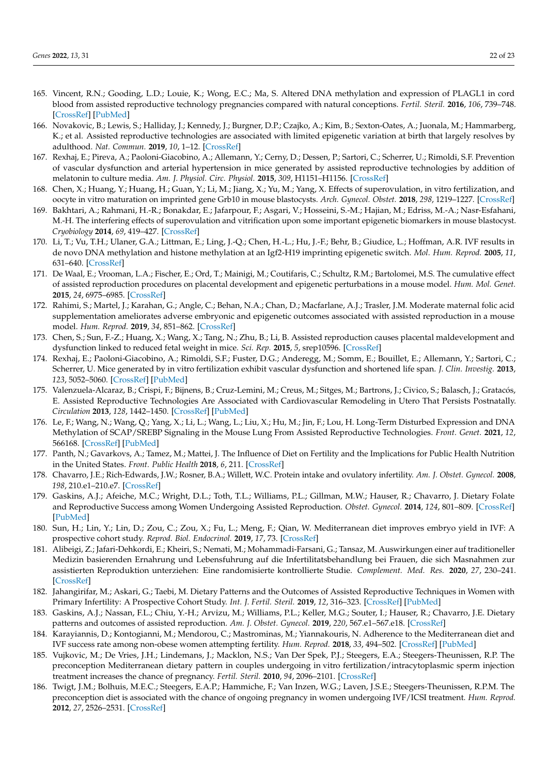- <span id="page-21-0"></span>165. Vincent, R.N.; Gooding, L.D.; Louie, K.; Wong, E.C.; Ma, S. Altered DNA methylation and expression of PLAGL1 in cord blood from assisted reproductive technology pregnancies compared with natural conceptions. *Fertil. Steril.* **2016**, *106*, 739–748. [\[CrossRef\]](http://doi.org/10.1016/j.fertnstert.2016.04.036) [\[PubMed\]](http://www.ncbi.nlm.nih.gov/pubmed/27178226)
- <span id="page-21-1"></span>166. Novakovic, B.; Lewis, S.; Halliday, J.; Kennedy, J.; Burgner, D.P.; Czajko, A.; Kim, B.; Sexton-Oates, A.; Juonala, M.; Hammarberg, K.; et al. Assisted reproductive technologies are associated with limited epigenetic variation at birth that largely resolves by adulthood. *Nat. Commun.* **2019**, *10*, 1–12. [\[CrossRef\]](http://doi.org/10.1038/s41467-019-11929-9)
- <span id="page-21-2"></span>167. Rexhaj, E.; Pireva, A.; Paoloni-Giacobino, A.; Allemann, Y.; Cerny, D.; Dessen, P.; Sartori, C.; Scherrer, U.; Rimoldi, S.F. Prevention of vascular dysfunction and arterial hypertension in mice generated by assisted reproductive technologies by addition of melatonin to culture media. *Am. J. Physiol. Circ. Physiol.* **2015**, *309*, H1151–H1156. [\[CrossRef\]](http://doi.org/10.1152/ajpheart.00621.2014)
- <span id="page-21-10"></span>168. Chen, X.; Huang, Y.; Huang, H.; Guan, Y.; Li, M.; Jiang, X.; Yu, M.; Yang, X. Effects of superovulation, in vitro fertilization, and oocyte in vitro maturation on imprinted gene Grb10 in mouse blastocysts. *Arch. Gynecol. Obstet.* **2018**, *298*, 1219–1227. [\[CrossRef\]](http://doi.org/10.1007/s00404-018-4905-3)
- <span id="page-21-3"></span>169. Bakhtari, A.; Rahmani, H.-R.; Bonakdar, E.; Jafarpour, F.; Asgari, V.; Hosseini, S.-M.; Hajian, M.; Edriss, M.-A.; Nasr-Esfahani, M.-H. The interfering effects of superovulation and vitrification upon some important epigenetic biomarkers in mouse blastocyst. *Cryobiology* **2014**, *69*, 419–427. [\[CrossRef\]](http://doi.org/10.1016/j.cryobiol.2014.09.379)
- <span id="page-21-4"></span>170. Li, T.; Vu, T.H.; Ulaner, G.A.; Littman, E.; Ling, J.-Q.; Chen, H.-L.; Hu, J.-F.; Behr, B.; Giudice, L.; Hoffman, A.R. IVF results in de novo DNA methylation and histone methylation at an Igf2-H19 imprinting epigenetic switch. *Mol. Hum. Reprod.* **2005**, *11*, 631–640. [\[CrossRef\]](http://doi.org/10.1093/molehr/gah230)
- <span id="page-21-5"></span>171. De Waal, E.; Vrooman, L.A.; Fischer, E.; Ord, T.; Mainigi, M.; Coutifaris, C.; Schultz, R.M.; Bartolomei, M.S. The cumulative effect of assisted reproduction procedures on placental development and epigenetic perturbations in a mouse model. *Hum. Mol. Genet.* **2015**, *24*, 6975–6985. [\[CrossRef\]](http://doi.org/10.1093/hmg/ddv400)
- <span id="page-21-6"></span>172. Rahimi, S.; Martel, J.; Karahan, G.; Angle, C.; Behan, N.A.; Chan, D.; Macfarlane, A.J.; Trasler, J.M. Moderate maternal folic acid supplementation ameliorates adverse embryonic and epigenetic outcomes associated with assisted reproduction in a mouse model. *Hum. Reprod.* **2019**, *34*, 851–862. [\[CrossRef\]](http://doi.org/10.1093/humrep/dez036)
- <span id="page-21-7"></span>173. Chen, S.; Sun, F.-Z.; Huang, X.; Wang, X.; Tang, N.; Zhu, B.; Li, B. Assisted reproduction causes placental maldevelopment and dysfunction linked to reduced fetal weight in mice. *Sci. Rep.* **2015**, *5*, srep10596. [\[CrossRef\]](http://doi.org/10.1038/srep10596)
- <span id="page-21-8"></span>174. Rexhaj, E.; Paoloni-Giacobino, A.; Rimoldi, S.F.; Fuster, D.G.; Anderegg, M.; Somm, E.; Bouillet, E.; Allemann, Y.; Sartori, C.; Scherrer, U. Mice generated by in vitro fertilization exhibit vascular dysfunction and shortened life span. *J. Clin. Investig.* **2013**, *123*, 5052–5060. [\[CrossRef\]](http://doi.org/10.1172/JCI68943) [\[PubMed\]](http://www.ncbi.nlm.nih.gov/pubmed/24270419)
- 175. Valenzuela-Alcaraz, B.; Crispi, F.; Bijnens, B.; Cruz-Lemini, M.; Creus, M.; Sitges, M.; Bartrons, J.; Civico, S.; Balasch, J.; Gratacós, E. Assisted Reproductive Technologies Are Associated with Cardiovascular Remodeling in Utero That Persists Postnatally. *Circulation* **2013**, *128*, 1442–1450. [\[CrossRef\]](http://doi.org/10.1161/CIRCULATIONAHA.113.002428) [\[PubMed\]](http://www.ncbi.nlm.nih.gov/pubmed/23985787)
- <span id="page-21-9"></span>176. Le, F.; Wang, N.; Wang, Q.; Yang, X.; Li, L.; Wang, L.; Liu, X.; Hu, M.; Jin, F.; Lou, H. Long-Term Disturbed Expression and DNA Methylation of SCAP/SREBP Signaling in the Mouse Lung From Assisted Reproductive Technologies. *Front. Genet.* **2021**, *12*, 566168. [\[CrossRef\]](http://doi.org/10.3389/fgene.2021.566168) [\[PubMed\]](http://www.ncbi.nlm.nih.gov/pubmed/34249075)
- <span id="page-21-11"></span>177. Panth, N.; Gavarkovs, A.; Tamez, M.; Mattei, J. The Influence of Diet on Fertility and the Implications for Public Health Nutrition in the United States. *Front. Public Health* **2018**, *6*, 211. [\[CrossRef\]](http://doi.org/10.3389/fpubh.2018.00211)
- <span id="page-21-12"></span>178. Chavarro, J.E.; Rich-Edwards, J.W.; Rosner, B.A.; Willett, W.C. Protein intake and ovulatory infertility. *Am. J. Obstet. Gynecol.* **2008**, *198*, 210.e1–210.e7. [\[CrossRef\]](http://doi.org/10.1016/j.ajog.2007.06.057)
- <span id="page-21-13"></span>179. Gaskins, A.J.; Afeiche, M.C.; Wright, D.L.; Toth, T.L.; Williams, P.L.; Gillman, M.W.; Hauser, R.; Chavarro, J. Dietary Folate and Reproductive Success among Women Undergoing Assisted Reproduction. *Obstet. Gynecol.* **2014**, *124*, 801–809. [\[CrossRef\]](http://doi.org/10.1097/AOG.0000000000000477) [\[PubMed\]](http://www.ncbi.nlm.nih.gov/pubmed/25198264)
- <span id="page-21-14"></span>180. Sun, H.; Lin, Y.; Lin, D.; Zou, C.; Zou, X.; Fu, L.; Meng, F.; Qian, W. Mediterranean diet improves embryo yield in IVF: A prospective cohort study. *Reprod. Biol. Endocrinol.* **2019**, *17*, 73. [\[CrossRef\]](http://doi.org/10.1186/s12958-019-0520-9)
- <span id="page-21-15"></span>181. Alibeigi, Z.; Jafari-Dehkordi, E.; Kheiri, S.; Nemati, M.; Mohammadi-Farsani, G.; Tansaz, M. Auswirkungen einer auf traditioneller Medizin basierenden Ernahrung und Lebensfuhrung auf die Infertilitatsbehandlung bei Frauen, die sich Masnahmen zur assistierten Reproduktion unterziehen: Eine randomisierte kontrollierte Studie. *Complement. Med. Res.* **2020**, *27*, 230–241. [\[CrossRef\]](http://doi.org/10.1159/000505016)
- <span id="page-21-16"></span>182. Jahangirifar, M.; Askari, G.; Taebi, M. Dietary Patterns and the Outcomes of Assisted Reproductive Techniques in Women with Primary Infertility: A Prospective Cohort Study. *Int. J. Fertil. Steril.* **2019**, *12*, 316–323. [\[CrossRef\]](http://doi.org/10.22074/IJFS.2019.5373) [\[PubMed\]](http://www.ncbi.nlm.nih.gov/pubmed/30291693)
- <span id="page-21-17"></span>183. Gaskins, A.J.; Nassan, F.L.; Chiu, Y.-H.; Arvizu, M.; Williams, P.L.; Keller, M.G.; Souter, I.; Hauser, R.; Chavarro, J.E. Dietary patterns and outcomes of assisted reproduction. *Am. J. Obstet. Gynecol.* **2019**, *220*, 567.e1–567.e18. [\[CrossRef\]](http://doi.org/10.1016/j.ajog.2019.02.004)
- <span id="page-21-20"></span>184. Karayiannis, D.; Kontogianni, M.; Mendorou, C.; Mastrominas, M.; Yiannakouris, N. Adherence to the Mediterranean diet and IVF success rate among non-obese women attempting fertility. *Hum. Reprod.* **2018**, *33*, 494–502. [\[CrossRef\]](http://doi.org/10.1093/humrep/dey003) [\[PubMed\]](http://www.ncbi.nlm.nih.gov/pubmed/29390148)
- <span id="page-21-18"></span>185. Vujkovic, M.; De Vries, J.H.; Lindemans, J.; Macklon, N.S.; Van Der Spek, P.J.; Steegers, E.A.; Steegers-Theunissen, R.P. The preconception Mediterranean dietary pattern in couples undergoing in vitro fertilization/intracytoplasmic sperm injection treatment increases the chance of pregnancy. *Fertil. Steril.* **2010**, *94*, 2096–2101. [\[CrossRef\]](http://doi.org/10.1016/j.fertnstert.2009.12.079)
- <span id="page-21-19"></span>186. Twigt, J.M.; Bolhuis, M.E.C.; Steegers, E.A.P.; Hammiche, F.; Van Inzen, W.G.; Laven, J.S.E.; Steegers-Theunissen, R.P.M. The preconception diet is associated with the chance of ongoing pregnancy in women undergoing IVF/ICSI treatment. *Hum. Reprod.* **2012**, *27*, 2526–2531. [\[CrossRef\]](http://doi.org/10.1093/humrep/des157)